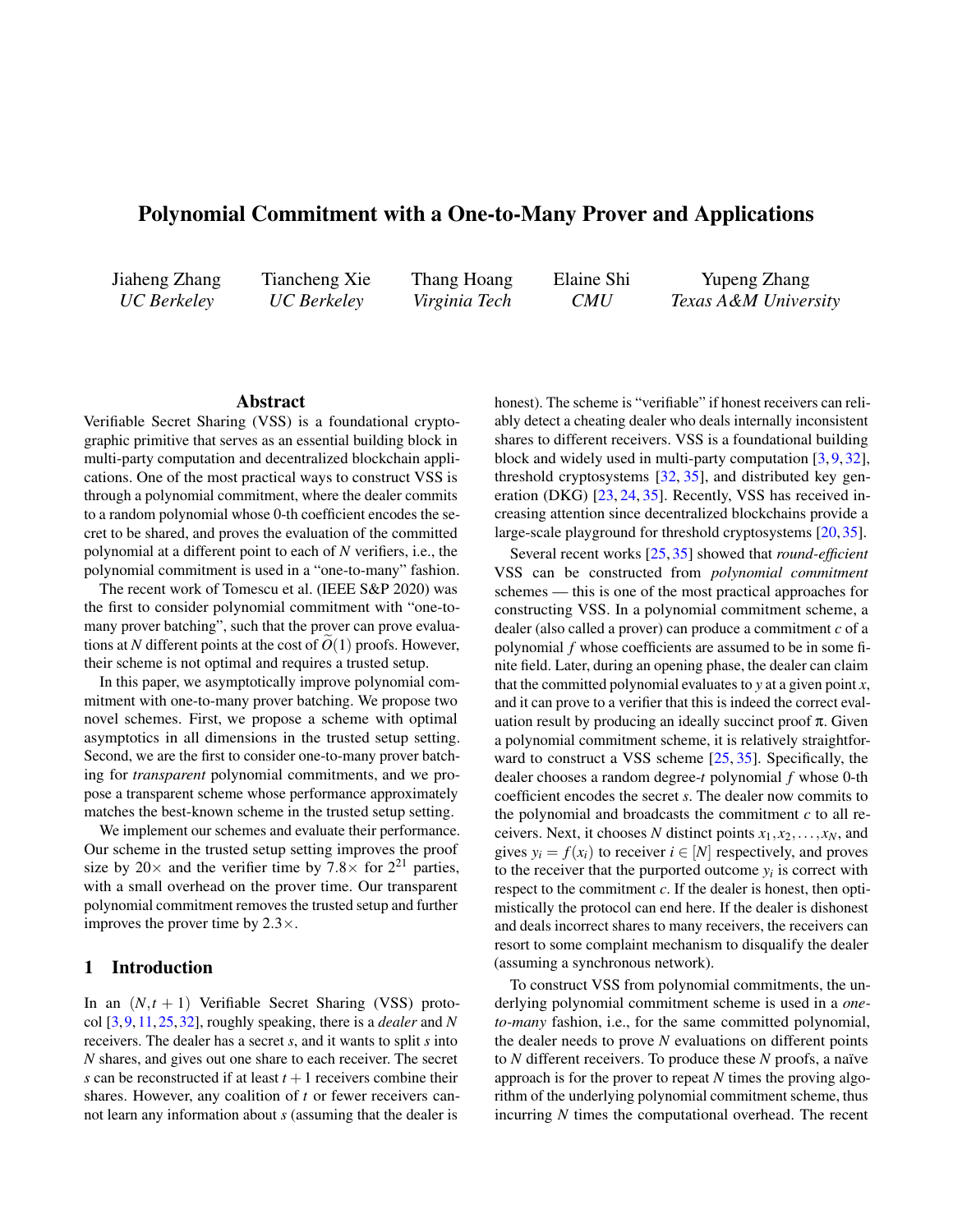# Polynomial Commitment with a One-to-Many Prover and Applications

Jiaheng Zhang *UC Berkeley*

Tiancheng Xie *UC Berkeley*

Thang Hoang *Virginia Tech*

Elaine Shi *CMU* Yupeng Zhang *Texas A&M University*

### Abstract

Verifiable Secret Sharing (VSS) is a foundational cryptographic primitive that serves as an essential building block in multi-party computation and decentralized blockchain applications. One of the most practical ways to construct VSS is through a polynomial commitment, where the dealer commits to a random polynomial whose 0-th coefficient encodes the secret to be shared, and proves the evaluation of the committed polynomial at a different point to each of *N* verifiers, i.e., the polynomial commitment is used in a "one-to-many" fashion.

The recent work of Tomescu et al. (IEEE S&P 2020) was the first to consider polynomial commitment with "one-tomany prover batching", such that the prover can prove evaluations at N different points at the cost of  $O(1)$  proofs. However, their scheme is not optimal and requires a trusted setup.

In this paper, we asymptotically improve polynomial commitment with one-to-many prover batching. We propose two novel schemes. First, we propose a scheme with optimal asymptotics in all dimensions in the trusted setup setting. Second, we are the first to consider one-to-many prover batching for *transparent* polynomial commitments, and we propose a transparent scheme whose performance approximately matches the best-known scheme in the trusted setup setting.

We implement our schemes and evaluate their performance. Our scheme in the trusted setup setting improves the proof size by  $20 \times$  and the verifier time by 7.8  $\times$  for  $2^{21}$  parties, with a small overhead on the prover time. Our transparent polynomial commitment removes the trusted setup and further improves the prover time by 2.3×.

### 1 Introduction

In an  $(N,t+1)$  Verifiable Secret Sharing (VSS) protocol [\[3,](#page-13-0)[9,](#page-13-1)[11,](#page-13-2)[25,](#page-14-0)[32\]](#page-14-1), roughly speaking, there is a *dealer* and *N* receivers. The dealer has a secret *s*, and it wants to split *s* into *N* shares, and gives out one share to each receiver. The secret *s* can be reconstructed if at least  $t + 1$  receivers combine their shares. However, any coalition of *t* or fewer receivers cannot learn any information about *s* (assuming that the dealer is

honest). The scheme is "verifiable" if honest receivers can reliably detect a cheating dealer who deals internally inconsistent shares to different receivers. VSS is a foundational building block and widely used in multi-party computation [\[3,](#page-13-0) [9,](#page-13-1) [32\]](#page-14-1), threshold cryptosystems [\[32,](#page-14-1) [35\]](#page-14-2), and distributed key generation (DKG) [\[23,](#page-14-3) [24,](#page-14-4) [35\]](#page-14-2). Recently, VSS has received increasing attention since decentralized blockchains provide a large-scale playground for threshold cryptosystems [\[20,](#page-13-3) [35\]](#page-14-2).

Several recent works [\[25,](#page-14-0) [35\]](#page-14-2) showed that *round-efficient* VSS can be constructed from *polynomial commitment* schemes — this is one of the most practical approaches for constructing VSS. In a polynomial commitment scheme, a dealer (also called a prover) can produce a commitment *c* of a polynomial *f* whose coefficients are assumed to be in some finite field. Later, during an opening phase, the dealer can claim that the committed polynomial evaluates to *y* at a given point *x*, and it can prove to a verifier that this is indeed the correct evaluation result by producing an ideally succinct proof  $\pi$ . Given a polynomial commitment scheme, it is relatively straightforward to construct a VSS scheme [\[25,](#page-14-0) [35\]](#page-14-2). Specifically, the dealer chooses a random degree-*t* polynomial *f* whose 0-th coefficient encodes the secret *s*. The dealer now commits to the polynomial and broadcasts the commitment *c* to all receivers. Next, it chooses N distinct points  $x_1, x_2, \ldots, x_N$ , and gives  $y_i = f(x_i)$  to receiver  $i \in [N]$  respectively, and proves to the receiver that the purported outcome  $y_i$  is correct with respect to the commitment *c*. If the dealer is honest, then optimistically the protocol can end here. If the dealer is dishonest and deals incorrect shares to many receivers, the receivers can resort to some complaint mechanism to disqualify the dealer (assuming a synchronous network).

To construct VSS from polynomial commitments, the underlying polynomial commitment scheme is used in a *oneto-many* fashion, i.e., for the same committed polynomial, the dealer needs to prove *N* evaluations on different points to *N* different receivers. To produce these *N* proofs, a naïve approach is for the prover to repeat *N* times the proving algorithm of the underlying polynomial commitment scheme, thus incurring *N* times the computational overhead. The recent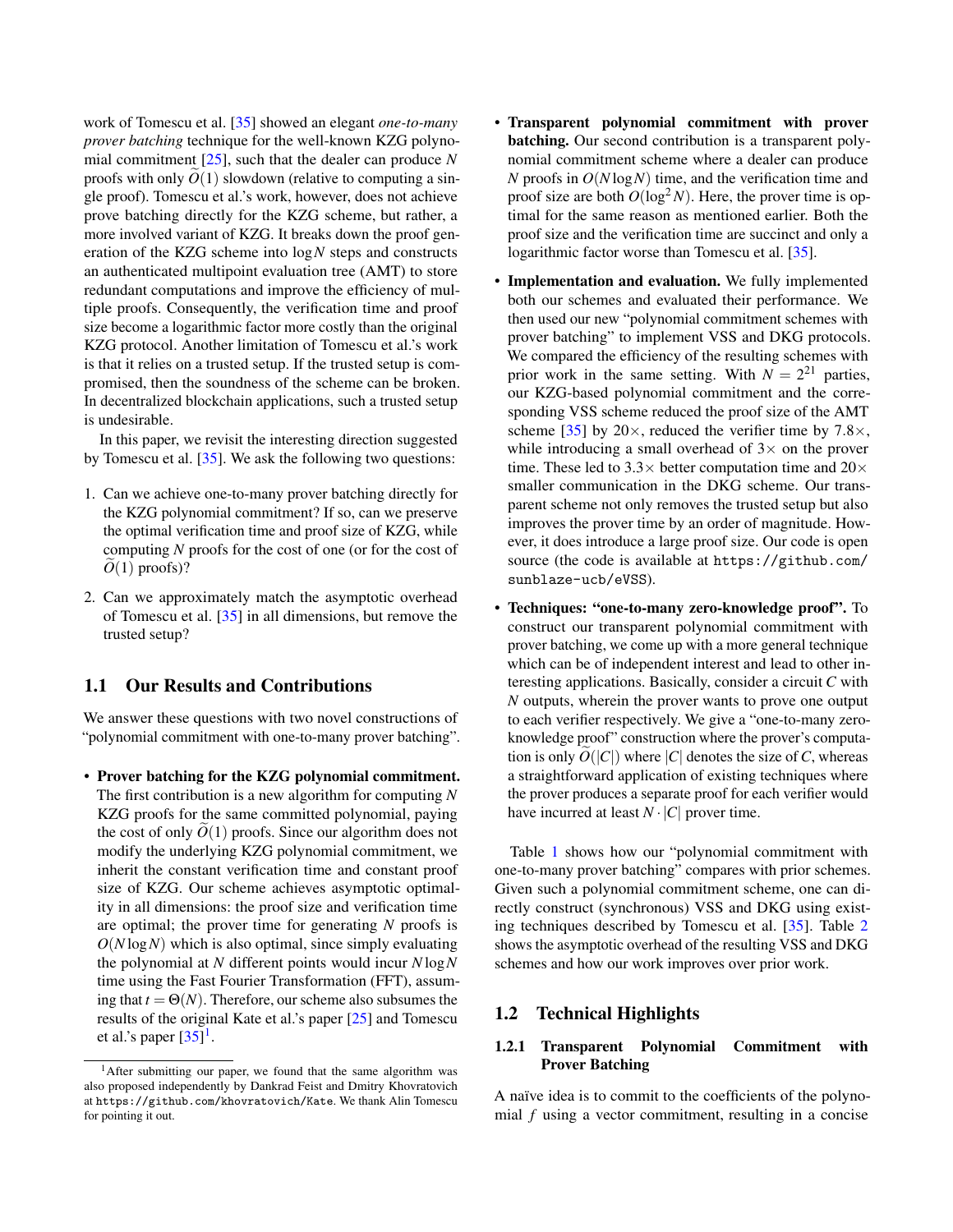work of Tomescu et al. [\[35\]](#page-14-2) showed an elegant *one-to-many prover batching* technique for the well-known KZG polynomial commitment [\[25\]](#page-14-0), such that the dealer can produce *N* proofs with only  $O(1)$  slowdown (relative to computing a single proof). Tomescu et al.'s work, however, does not achieve prove batching directly for the KZG scheme, but rather, a more involved variant of KZG. It breaks down the proof generation of the KZG scheme into log*N* steps and constructs an authenticated multipoint evaluation tree (AMT) to store redundant computations and improve the efficiency of multiple proofs. Consequently, the verification time and proof size become a logarithmic factor more costly than the original KZG protocol. Another limitation of Tomescu et al.'s work is that it relies on a trusted setup. If the trusted setup is compromised, then the soundness of the scheme can be broken. In decentralized blockchain applications, such a trusted setup is undesirable.

In this paper, we revisit the interesting direction suggested by Tomescu et al. [\[35\]](#page-14-2). We ask the following two questions:

- 1. Can we achieve one-to-many prover batching directly for the KZG polynomial commitment? If so, can we preserve the optimal verification time and proof size of KZG, while computing *N* proofs for the cost of one (or for the cost of  $O(1)$  proofs)?
- 2. Can we approximately match the asymptotic overhead of Tomescu et al. [\[35\]](#page-14-2) in all dimensions, but remove the trusted setup?

### 1.1 Our Results and Contributions

We answer these questions with two novel constructions of "polynomial commitment with one-to-many prover batching".

• Prover batching for the KZG polynomial commitment. The first contribution is a new algorithm for computing *N* KZG proofs for the same committed polynomial, paying the cost of only  $O(1)$  proofs. Since our algorithm does not modify the underlying KZG polynomial commitment, we inherit the constant verification time and constant proof size of KZG. Our scheme achieves asymptotic optimality in all dimensions: the proof size and verification time are optimal; the prover time for generating *N* proofs is *O*(*N* log*N*) which is also optimal, since simply evaluating the polynomial at *N* different points would incur *N* log*N* time using the Fast Fourier Transformation (FFT), assuming that  $t = \Theta(N)$ . Therefore, our scheme also subsumes the results of the original Kate et al.'s paper [\[25\]](#page-14-0) and Tomescu et al.'s paper  $[35]$ <sup>[1](#page-1-0)</sup>.

- Transparent polynomial commitment with prover batching. Our second contribution is a transparent polynomial commitment scheme where a dealer can produce *N* proofs in *O*(*N* log*N*) time, and the verification time and proof size are both  $O(\log^2 N)$ . Here, the prover time is optimal for the same reason as mentioned earlier. Both the proof size and the verification time are succinct and only a logarithmic factor worse than Tomescu et al. [\[35\]](#page-14-2).
- Implementation and evaluation. We fully implemented both our schemes and evaluated their performance. We then used our new "polynomial commitment schemes with prover batching" to implement VSS and DKG protocols. We compared the efficiency of the resulting schemes with prior work in the same setting. With  $N = 2^{21}$  parties, our KZG-based polynomial commitment and the corresponding VSS scheme reduced the proof size of the AMT scheme [\[35\]](#page-14-2) by  $20 \times$ , reduced the verifier time by 7.8 $\times$ , while introducing a small overhead of  $3\times$  on the prover time. These led to 3.3 $\times$  better computation time and 20 $\times$ smaller communication in the DKG scheme. Our transparent scheme not only removes the trusted setup but also improves the prover time by an order of magnitude. However, it does introduce a large proof size. Our code is open source (the code is available at [https://github.com/](https://github.com/sunblaze-ucb/eVSS) [sunblaze-ucb/eVSS](https://github.com/sunblaze-ucb/eVSS)).
- Techniques: "one-to-many zero-knowledge proof". To construct our transparent polynomial commitment with prover batching, we come up with a more general technique which can be of independent interest and lead to other interesting applications. Basically, consider a circuit *C* with *N* outputs, wherein the prover wants to prove one output to each verifier respectively. We give a "one-to-many zeroknowledge proof" construction where the prover's computation is only  $O(|C|)$  where  $|C|$  denotes the size of *C*, whereas a straightforward application of existing techniques where the prover produces a separate proof for each verifier would have incurred at least  $N \cdot |C|$  prover time.

Table [1](#page-2-0) shows how our "polynomial commitment with one-to-many prover batching" compares with prior schemes. Given such a polynomial commitment scheme, one can directly construct (synchronous) VSS and DKG using existing techniques described by Tomescu et al. [\[35\]](#page-14-2). Table [2](#page-3-0) shows the asymptotic overhead of the resulting VSS and DKG schemes and how our work improves over prior work.

### 1.2 Technical Highlights

### 1.2.1 Transparent Polynomial Commitment with Prover Batching

A naïve idea is to commit to the coefficients of the polynomial *f* using a vector commitment, resulting in a concise

<span id="page-1-0"></span><sup>&</sup>lt;sup>1</sup>After submitting our paper, we found that the same algorithm was also proposed independently by Dankrad Feist and Dmitry Khovratovich at <https://github.com/khovratovich/Kate>. We thank Alin Tomescu for pointing it out.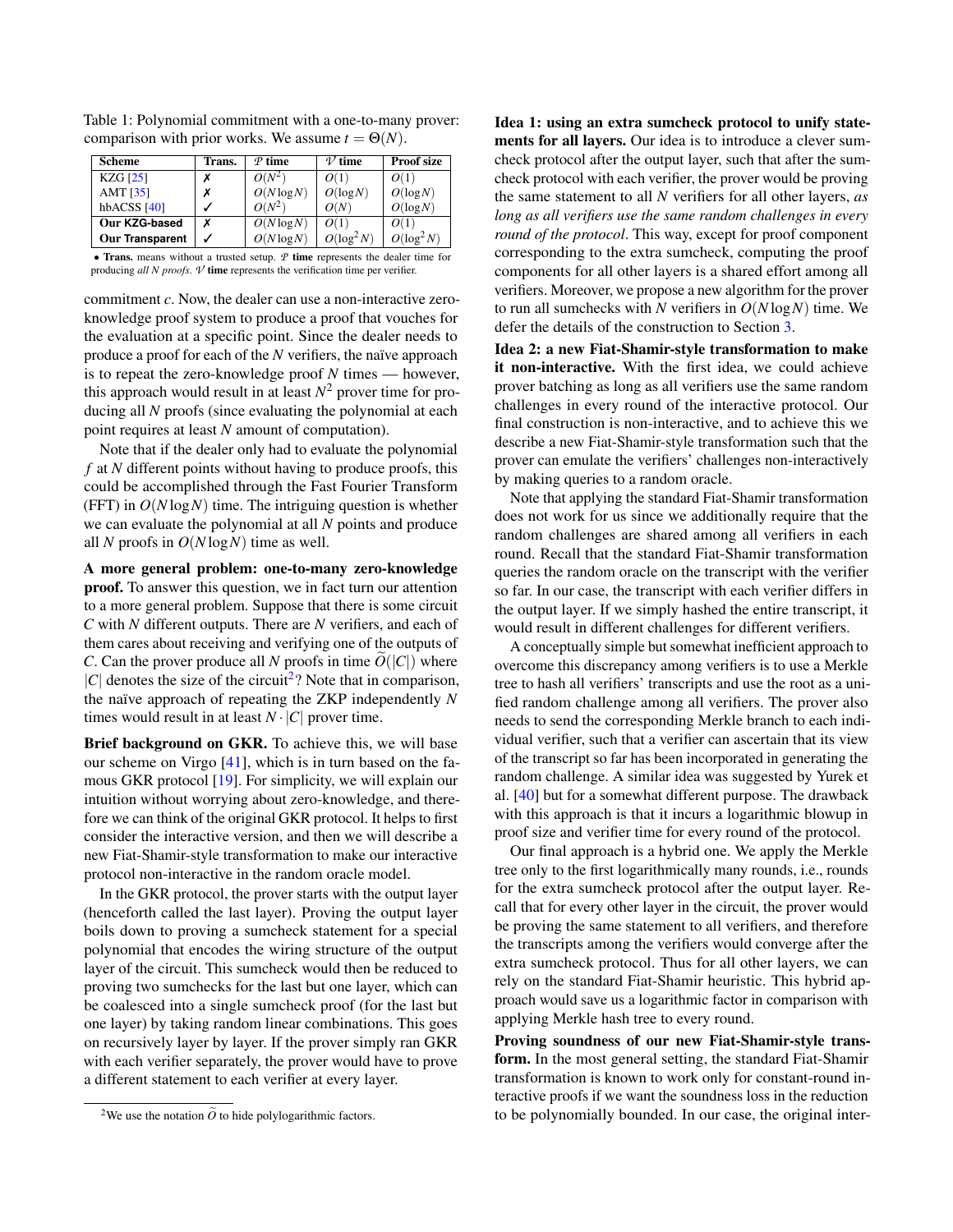| Scheme          | Trans. | $\varphi$ time | $\nu$ time    | <b>Proof size</b> |  |
|-----------------|--------|----------------|---------------|-------------------|--|
| <b>KZG</b> [25] |        | $O(N^2)$       | O(1)          |                   |  |
| AMT $[35]$      |        | $O(N \log N)$  | $O(\log N)$   | $O(\log N)$       |  |
| hb $ACSS$ [40]  |        | $O(N^2)$       | O(N)          | $O(\log N)$       |  |
| Our KZG-based   |        | $O(N \log N)$  | O(1)          | O(1)              |  |
| Our Transparent |        | $O(N \log N)$  | $O(\log^2 N)$ | $O(\log^2 N)$     |  |

<span id="page-2-0"></span>Table 1: Polynomial commitment with a one-to-many prover: comparison with prior works. We assume  $t = \Theta(N)$ .

• Trans. means without a trusted setup. *P* time represents the dealer time for producing *all N proofs*.  $\nu$  time represents the verification time per verifier.

commitment *c*. Now, the dealer can use a non-interactive zeroknowledge proof system to produce a proof that vouches for the evaluation at a specific point. Since the dealer needs to produce a proof for each of the *N* verifiers, the naïve approach is to repeat the zero-knowledge proof *N* times — however, this approach would result in at least  $N^2$  prover time for producing all *N* proofs (since evaluating the polynomial at each point requires at least *N* amount of computation).

Note that if the dealer only had to evaluate the polynomial *f* at *N* different points without having to produce proofs, this could be accomplished through the Fast Fourier Transform (FFT) in *O*(*N* log*N*) time. The intriguing question is whether we can evaluate the polynomial at all *N* points and produce all *N* proofs in *O*(*N* log*N*) time as well.

A more general problem: one-to-many zero-knowledge proof. To answer this question, we in fact turn our attention to a more general problem. Suppose that there is some circuit *C* with *N* different outputs. There are *N* verifiers, and each of them cares about receiving and verifying one of the outputs of *C*. Can the prover produce all *N* proofs in time  $O(|C|)$  where  $|C|$  denotes the size of the circuit<sup>[2](#page-2-1)</sup>? Note that in comparison, the naïve approach of repeating the ZKP independently *N* times would result in at least  $N \cdot |C|$  prover time.

Brief background on GKR. To achieve this, we will base our scheme on Virgo [\[41\]](#page-14-6), which is in turn based on the famous GKR protocol [\[19\]](#page-13-4). For simplicity, we will explain our intuition without worrying about zero-knowledge, and therefore we can think of the original GKR protocol. It helps to first consider the interactive version, and then we will describe a new Fiat-Shamir-style transformation to make our interactive protocol non-interactive in the random oracle model.

In the GKR protocol, the prover starts with the output layer (henceforth called the last layer). Proving the output layer boils down to proving a sumcheck statement for a special polynomial that encodes the wiring structure of the output layer of the circuit. This sumcheck would then be reduced to proving two sumchecks for the last but one layer, which can be coalesced into a single sumcheck proof (for the last but one layer) by taking random linear combinations. This goes on recursively layer by layer. If the prover simply ran GKR with each verifier separately, the prover would have to prove a different statement to each verifier at every layer.

<span id="page-2-1"></span><sup>2</sup>We use the notation  $\tilde{O}$  to hide polylogarithmic factors.

Idea 1: using an extra sumcheck protocol to unify statements for all layers. Our idea is to introduce a clever sumcheck protocol after the output layer, such that after the sumcheck protocol with each verifier, the prover would be proving the same statement to all *N* verifiers for all other layers, *as long as all verifiers use the same random challenges in every round of the protocol*. This way, except for proof component corresponding to the extra sumcheck, computing the proof components for all other layers is a shared effort among all verifiers. Moreover, we propose a new algorithm for the prover to run all sumchecks with *N* verifiers in  $O(N \log N)$  time. We defer the details of the construction to Section [3.](#page-6-0)

Idea 2: a new Fiat-Shamir-style transformation to make it non-interactive. With the first idea, we could achieve prover batching as long as all verifiers use the same random challenges in every round of the interactive protocol. Our final construction is non-interactive, and to achieve this we describe a new Fiat-Shamir-style transformation such that the prover can emulate the verifiers' challenges non-interactively by making queries to a random oracle.

Note that applying the standard Fiat-Shamir transformation does not work for us since we additionally require that the random challenges are shared among all verifiers in each round. Recall that the standard Fiat-Shamir transformation queries the random oracle on the transcript with the verifier so far. In our case, the transcript with each verifier differs in the output layer. If we simply hashed the entire transcript, it would result in different challenges for different verifiers.

A conceptually simple but somewhat inefficient approach to overcome this discrepancy among verifiers is to use a Merkle tree to hash all verifiers' transcripts and use the root as a unified random challenge among all verifiers. The prover also needs to send the corresponding Merkle branch to each individual verifier, such that a verifier can ascertain that its view of the transcript so far has been incorporated in generating the random challenge. A similar idea was suggested by Yurek et al. [\[40\]](#page-14-5) but for a somewhat different purpose. The drawback with this approach is that it incurs a logarithmic blowup in proof size and verifier time for every round of the protocol.

Our final approach is a hybrid one. We apply the Merkle tree only to the first logarithmically many rounds, i.e., rounds for the extra sumcheck protocol after the output layer. Recall that for every other layer in the circuit, the prover would be proving the same statement to all verifiers, and therefore the transcripts among the verifiers would converge after the extra sumcheck protocol. Thus for all other layers, we can rely on the standard Fiat-Shamir heuristic. This hybrid approach would save us a logarithmic factor in comparison with applying Merkle hash tree to every round.

Proving soundness of our new Fiat-Shamir-style transform. In the most general setting, the standard Fiat-Shamir transformation is known to work only for constant-round interactive proofs if we want the soundness loss in the reduction to be polynomially bounded. In our case, the original inter-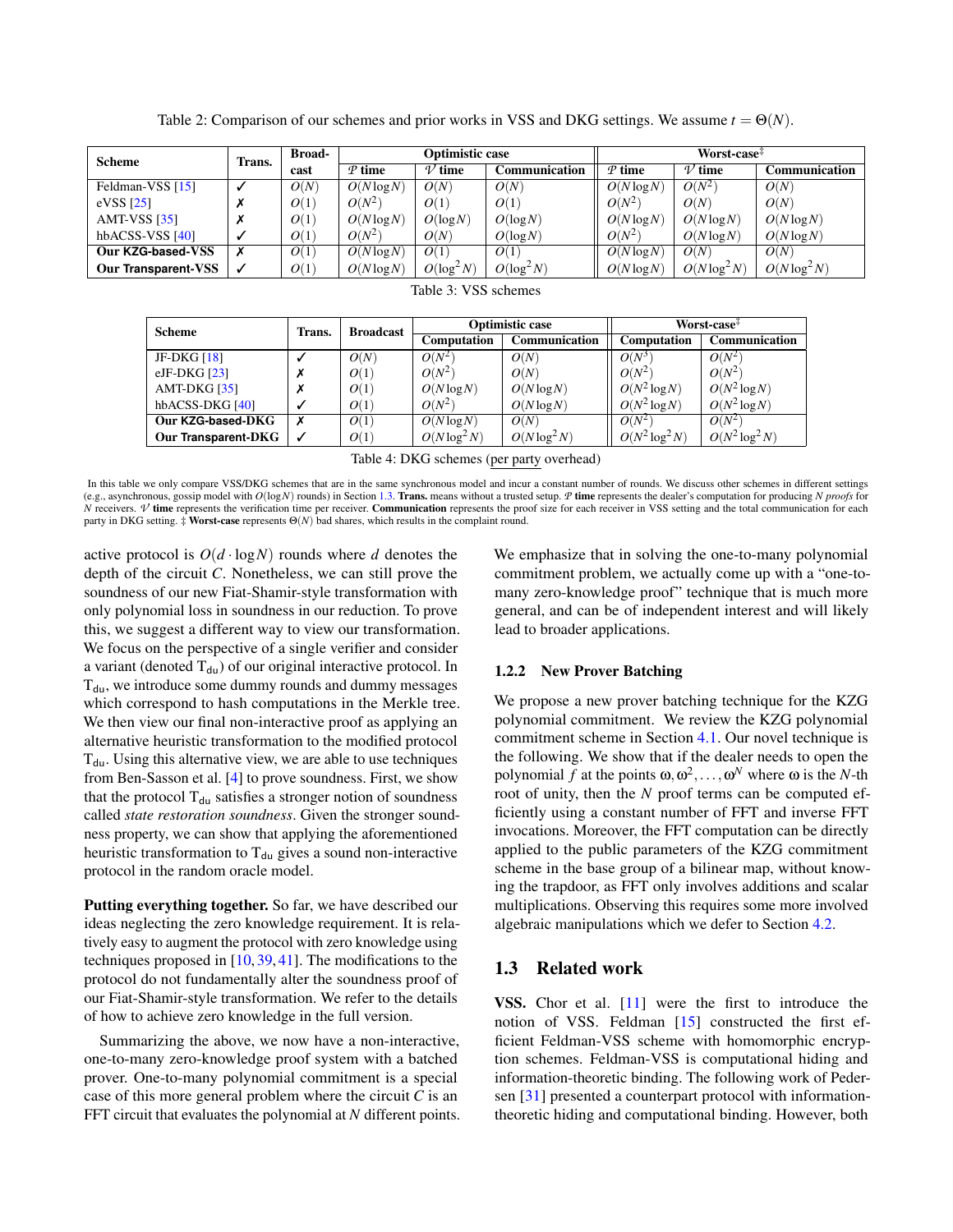Table 2: Comparison of our schemes and prior works in VSS and DKG settings. We assume  $t = \Theta(N)$ .

<span id="page-3-0"></span>

| <b>Scheme</b>       | Trans. | <b>Broad-</b> | Optimistic case   |                   |               | Worst-case <sup><math>#</math></sup> |                   |                      |
|---------------------|--------|---------------|-------------------|-------------------|---------------|--------------------------------------|-------------------|----------------------|
|                     |        | cast          | $\mathcal P$ time | $\mathcal V$ time | Communication | $\mathcal P$ time                    | $\mathcal V$ time | <b>Communication</b> |
| Feldman-VSS [15]    | ✓      | O(N)          | $O(N \log N)$     | O(N)              | O(N)          | $O(N \log N)$                        | $O(N^2)$          | O(N)                 |
| eVSS $[25]$         | Х      | O(1)          | $O(N^2)$          | O(1)              | O(1)          | $O(N^2)$                             | O(N)              | O(N)                 |
| AMT-VSS $[35]$      | Х      | O(1)          | $O(N \log N)$     | O(log N)          | O(log N)      | $O(N \log N)$                        | $O(N \log N)$     | $O(N \log N)$        |
| hb $ACSS$ -VSS [40] | √      | O(1)          | $O(N^2)$          | O(N)              | O(log N)      | $O(N^2)$                             | $O(N \log N)$     | $O(N \log N)$        |
| Our KZG-based-VSS   | X      | O(1)          | $O(N \log N)$     | O(1)              | O(1)          | $O(N \log N)$                        | O(N)              | O(N)                 |
| Our Transparent-VSS |        | O(1)          | $O(N \log N)$     | $O(\log^2 N)$     | $O(\log^2 N)$ | $O(N \log N)$                        | $O(N \log^2 N)$   | $O(N \log^2 N)$      |
| T1127777777         |        |               |                   |                   |               |                                      |                   |                      |

|  | Table 3: VSS schemes |
|--|----------------------|
|  |                      |

| <b>Scheme</b>       | Trans. | <b>Broadcast</b> |                    | <b>Optimistic case</b> | Worst-case <sup>#</sup> |                   |
|---------------------|--------|------------------|--------------------|------------------------|-------------------------|-------------------|
|                     |        |                  | <b>Computation</b> | Communication          | <b>Computation</b>      | Communication     |
| JF-DKG $[18]$       |        | O(N)             | $O(N^2)$           | O(N)                   | $O(N^3)$                | $O(N^2)$          |
| eJF-DKG $[23]$      |        | O(1)             | $O(N^2)$           | O(N)                   | $O(N^2)$                | $O(N^2)$          |
| AMT-DKG $[35]$      |        | O(1)             | $O(N \log N)$      | $O(N \log N)$          | $O(N^2 \log N)$         | $O(N^2 \log N)$   |
| hbACSS-DKG [40]     |        | O(1)             | $O(N^2)$           | $O(N \log N)$          | $O(N^2 \log N)$         | $O(N^2 \log N)$   |
| Our KZG-based-DKG   |        | O(1)             | $O(N \log N)$      | O(N)                   | $O(N^2)$                | $O(N^2)$          |
| Our Transparent-DKG |        | O(1)             | $O(N \log^2 N)$    | $O(N \log^2 N)$        | $O(N^2 \log^2 N)$       | $O(N^2 \log^2 N)$ |

Table 4: DKG schemes (per party overhead)

In this table we only compare VSS/DKG schemes that are in the same synchronous model and incur a constant number of rounds. We discuss other schemes in different settings (e.g., asynchronous, gossip model with *O*(log*N*) rounds) in Section [1.3.](#page-3-1) Trans. means without a trusted setup. *P* time represents the dealer's computation for producing *N proofs* for *N* receivers.  $\nu$  time represents the verification time per receiver. Communication represents the proof size for each receiver in VSS setting and the total communication for each party in DKG setting. ‡ Worst-case represents Θ(*N*) bad shares, which results in the complaint round.

active protocol is  $O(d \cdot \log N)$  rounds where *d* denotes the depth of the circuit *C*. Nonetheless, we can still prove the soundness of our new Fiat-Shamir-style transformation with only polynomial loss in soundness in our reduction. To prove this, we suggest a different way to view our transformation. We focus on the perspective of a single verifier and consider a variant (denoted  $T_{du}$ ) of our original interactive protocol. In  $T_{du}$ , we introduce some dummy rounds and dummy messages which correspond to hash computations in the Merkle tree. We then view our final non-interactive proof as applying an alternative heuristic transformation to the modified protocol  $T_{du}$ . Using this alternative view, we are able to use techniques from Ben-Sasson et al. [\[4\]](#page-13-7) to prove soundness. First, we show that the protocol  $T_{du}$  satisfies a stronger notion of soundness called *state restoration soundness*. Given the stronger soundness property, we can show that applying the aforementioned heuristic transformation to  $T_{du}$  gives a sound non-interactive protocol in the random oracle model.

Putting everything together. So far, we have described our ideas neglecting the zero knowledge requirement. It is relatively easy to augment the protocol with zero knowledge using techniques proposed in [\[10,](#page-13-8) [39,](#page-14-7) [41\]](#page-14-6). The modifications to the protocol do not fundamentally alter the soundness proof of our Fiat-Shamir-style transformation. We refer to the details of how to achieve zero knowledge in the full version.

Summarizing the above, we now have a non-interactive, one-to-many zero-knowledge proof system with a batched prover. One-to-many polynomial commitment is a special case of this more general problem where the circuit *C* is an FFT circuit that evaluates the polynomial at *N* different points. We emphasize that in solving the one-to-many polynomial commitment problem, we actually come up with a "one-tomany zero-knowledge proof" technique that is much more general, and can be of independent interest and will likely lead to broader applications.

### 1.2.2 New Prover Batching

We propose a new prover batching technique for the KZG polynomial commitment. We review the KZG polynomial commitment scheme in Section [4.1.](#page-9-0) Our novel technique is the following. We show that if the dealer needs to open the polynomial *f* at the points  $\omega, \omega^2, \dots, \omega^N$  where  $\omega$  is the *N*-th root of unity, then the *N* proof terms can be computed efficiently using a constant number of FFT and inverse FFT invocations. Moreover, the FFT computation can be directly applied to the public parameters of the KZG commitment scheme in the base group of a bilinear map, without knowing the trapdoor, as FFT only involves additions and scalar multiplications. Observing this requires some more involved algebraic manipulations which we defer to Section [4.2.](#page-9-1)

## <span id="page-3-1"></span>1.3 Related work

VSS. Chor et al. [\[11\]](#page-13-2) were the first to introduce the notion of VSS. Feldman [\[15\]](#page-13-5) constructed the first efficient Feldman-VSS scheme with homomorphic encryption schemes. Feldman-VSS is computational hiding and information-theoretic binding. The following work of Pedersen [\[31\]](#page-14-8) presented a counterpart protocol with informationtheoretic hiding and computational binding. However, both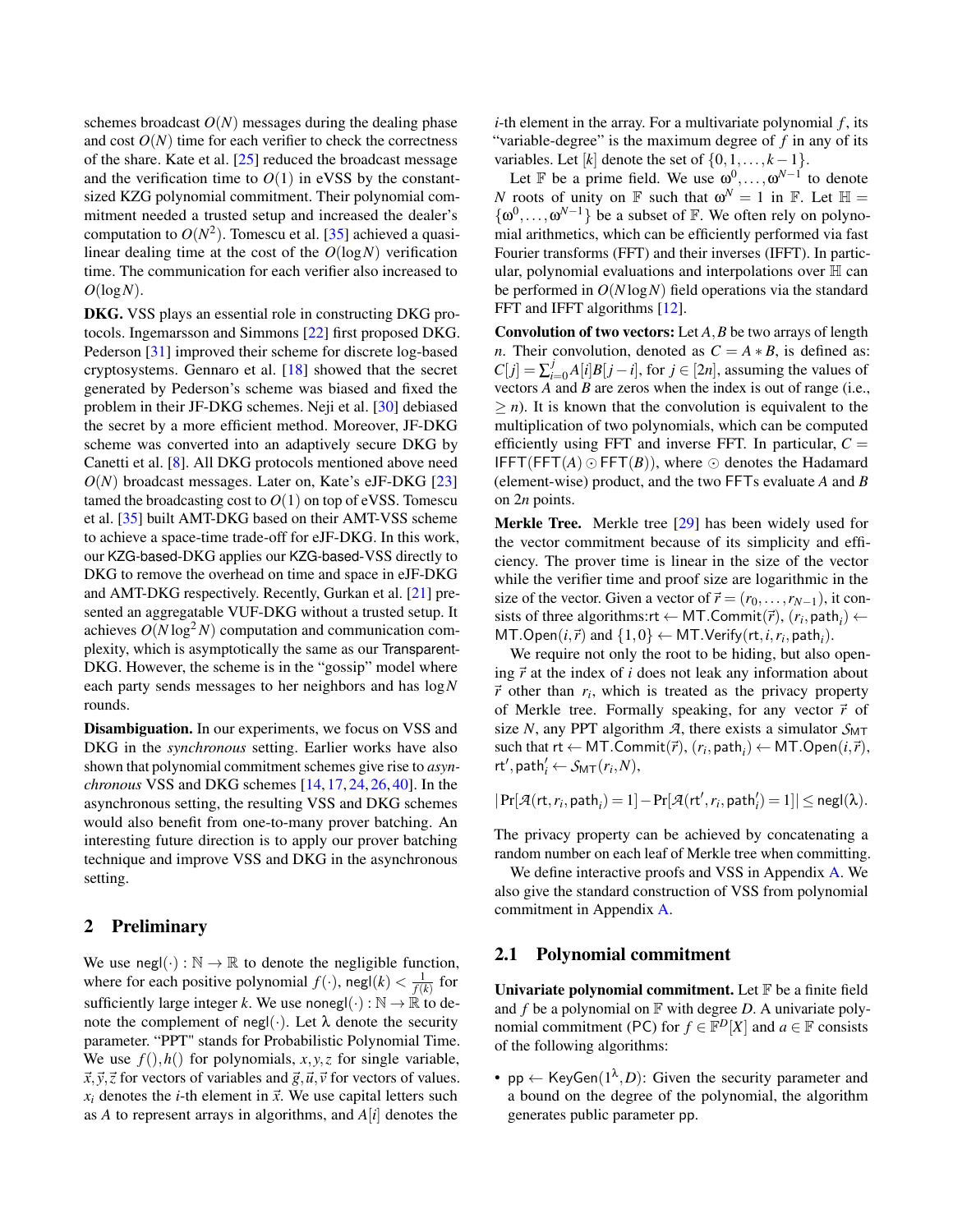schemes broadcast  $O(N)$  messages during the dealing phase and cost  $O(N)$  time for each verifier to check the correctness of the share. Kate et al. [\[25\]](#page-14-0) reduced the broadcast message and the verification time to  $O(1)$  in eVSS by the constantsized KZG polynomial commitment. Their polynomial commitment needed a trusted setup and increased the dealer's computation to  $O(N^2)$ . Tomescu et al. [\[35\]](#page-14-2) achieved a quasilinear dealing time at the cost of the  $O(log N)$  verification time. The communication for each verifier also increased to *O*(log*N*).

DKG. VSS plays an essential role in constructing DKG protocols. Ingemarsson and Simmons [\[22\]](#page-14-9) first proposed DKG. Pederson [\[31\]](#page-14-8) improved their scheme for discrete log-based cryptosystems. Gennaro et al. [\[18\]](#page-13-6) showed that the secret generated by Pederson's scheme was biased and fixed the problem in their JF-DKG schemes. Neji et al. [\[30\]](#page-14-10) debiased the secret by a more efficient method. Moreover, JF-DKG scheme was converted into an adaptively secure DKG by Canetti et al. [\[8\]](#page-13-9). All DKG protocols mentioned above need *O*(*N*) broadcast messages. Later on, Kate's eJF-DKG [\[23\]](#page-14-3) tamed the broadcasting cost to  $O(1)$  on top of eVSS. Tomescu et al. [\[35\]](#page-14-2) built AMT-DKG based on their AMT-VSS scheme to achieve a space-time trade-off for eJF-DKG. In this work, our KZG-based-DKG applies our KZG-based-VSS directly to DKG to remove the overhead on time and space in eJF-DKG and AMT-DKG respectively. Recently, Gurkan et al. [\[21\]](#page-14-11) presented an aggregatable VUF-DKG without a trusted setup. It achieves  $O(N \log^2 N)$  computation and communication complexity, which is asymptotically the same as our Transparent-DKG. However, the scheme is in the "gossip" model where each party sends messages to her neighbors and has log*N* rounds.

Disambiguation. In our experiments, we focus on VSS and DKG in the *synchronous* setting. Earlier works have also shown that polynomial commitment schemes give rise to *asynchronous* VSS and DKG schemes [\[14,](#page-13-10) [17,](#page-13-11) [24,](#page-14-4) [26,](#page-14-12) [40\]](#page-14-5). In the asynchronous setting, the resulting VSS and DKG schemes would also benefit from one-to-many prover batching. An interesting future direction is to apply our prover batching technique and improve VSS and DKG in the asynchronous setting.

### <span id="page-4-0"></span>2 Preliminary

We use  $\text{negl}(\cdot): \mathbb{N} \to \mathbb{R}$  to denote the negligible function, where for each positive polynomial  $f(\cdot)$ , negl $(k) < \frac{1}{f(k)}$  for sufficiently large integer *k*. We use nonegl( $\cdot$ ) :  $\mathbb{N} \to \mathbb{R}$  to denote the complement of negl( $\cdot$ ). Let  $\lambda$  denote the security parameter. "PPT" stands for Probabilistic Polynomial Time. We use  $f( \cdot), h( \cdot)$  for polynomials,  $x, y, z$  for single variable,  $\vec{x}, \vec{y}, \vec{z}$  for vectors of variables and  $\vec{g}, \vec{u}, \vec{v}$  for vectors of values.  $x_i$  denotes the *i*-th element in  $\vec{x}$ . We use capital letters such as  $A$  to represent arrays in algorithms, and  $A[i]$  denotes the

*i*-th element in the array. For a multivariate polynomial *f*, its "variable-degree" is the maximum degree of *f* in any of its variables. Let  $[k]$  denote the set of  $\{0,1,\ldots,k-1\}$ .

Let F be a prime field. We use  $\omega^0, \ldots, \omega^{N-1}$  to denote *N* roots of unity on  $\mathbb F$  such that  $\omega^N = 1$  in  $\mathbb F$ . Let  $\mathbb H =$  $\{\omega^0, \ldots, \omega^{N-1}\}\)$  be a subset of  $\mathbb F$ . We often rely on polynomial arithmetics, which can be efficiently performed via fast Fourier transforms (FFT) and their inverses (IFFT). In particular, polynomial evaluations and interpolations over H can be performed in *O*(*N* log*N*) field operations via the standard FFT and IFFT algorithms [\[12\]](#page-13-12).

Convolution of two vectors: Let *A*,*B* be two arrays of length *n*. Their convolution, denoted as  $C = A * B$ , is defined as:  $C[j] = \sum_{i=0}^{j} A[i]B[j-i]$ , for  $j \in [2n]$ , assuming the values of vectors *A* and *B* are zeros when the index is out of range (i.e.,  $\geq n$ ). It is known that the convolution is equivalent to the multiplication of two polynomials, which can be computed efficiently using FFT and inverse FFT. In particular,  $C =$ IFFT(FFT( $A$ )  $\odot$  FFT( $B$ )), where  $\odot$  denotes the Hadamard (element-wise) product, and the two FFTs evaluate *A* and *B* on 2*n* points.

Merkle Tree. Merkle tree [\[29\]](#page-14-13) has been widely used for the vector commitment because of its simplicity and efficiency. The prover time is linear in the size of the vector while the verifier time and proof size are logarithmic in the size of the vector. Given a vector of  $\vec{r} = (r_0, \ldots, r_{N-1})$ , it consists of three algorithms: $rt \leftarrow MT$ . Commit $(\vec{r})$ ,  $(r_i, \text{path}_i) \leftarrow$  $\textsf{MT}.Open(i, \vec{r}) \text{ and } \{1,0\} \leftarrow \textsf{MT}.Verify(rt, i, r_i, \textsf{path}_i).$ 

We require not only the root to be hiding, but also opening  $\vec{r}$  at the index of *i* does not leak any information about  $\vec{r}$  other than  $r_i$ , which is treated as the privacy property of Merkle tree. Formally speaking, for any vector  $\vec{r}$  of size *N*, any PPT algorithm *A*, there exists a simulator  $S_{MT}$ such that  $rt \leftarrow MT$ .Commit $(\vec{r}), (r_i, \text{path}_i) \leftarrow MT$ .Open $(i, \vec{r}),$  $r$ **t**', path'<sub>i</sub> ←  $S_{\text{MT}}(r_i, N)$ ,

$$
|\Pr[\mathcal{A}(\mathsf{rt},r_i,\mathsf{path}_i)=1]-\Pr[\mathcal{A}(\mathsf{rt}',r_i,\mathsf{path}'_i)=1]|\leq \mathsf{negl}(\lambda).
$$

The privacy property can be achieved by concatenating a random number on each leaf of Merkle tree when committing.

We define interactive proofs and VSS in Appendix [A.](#page-14-14) We also give the standard construction of VSS from polynomial commitment in Appendix [A.](#page-14-14)

## 2.1 Polynomial commitment

Univariate polynomial commitment. Let  $\mathbb F$  be a finite field and  $f$  be a polynomial on  $\mathbb F$  with degree  $D$ . A univariate polynomial commitment (PC) for  $f \in \mathbb{F}^D[X]$  and  $a \in \mathbb{F}$  consists of the following algorithms:

•  $pp \leftarrow$  KeyGen $(1^{\lambda}, D)$ : Given the security parameter and a bound on the degree of the polynomial, the algorithm generates public parameter pp.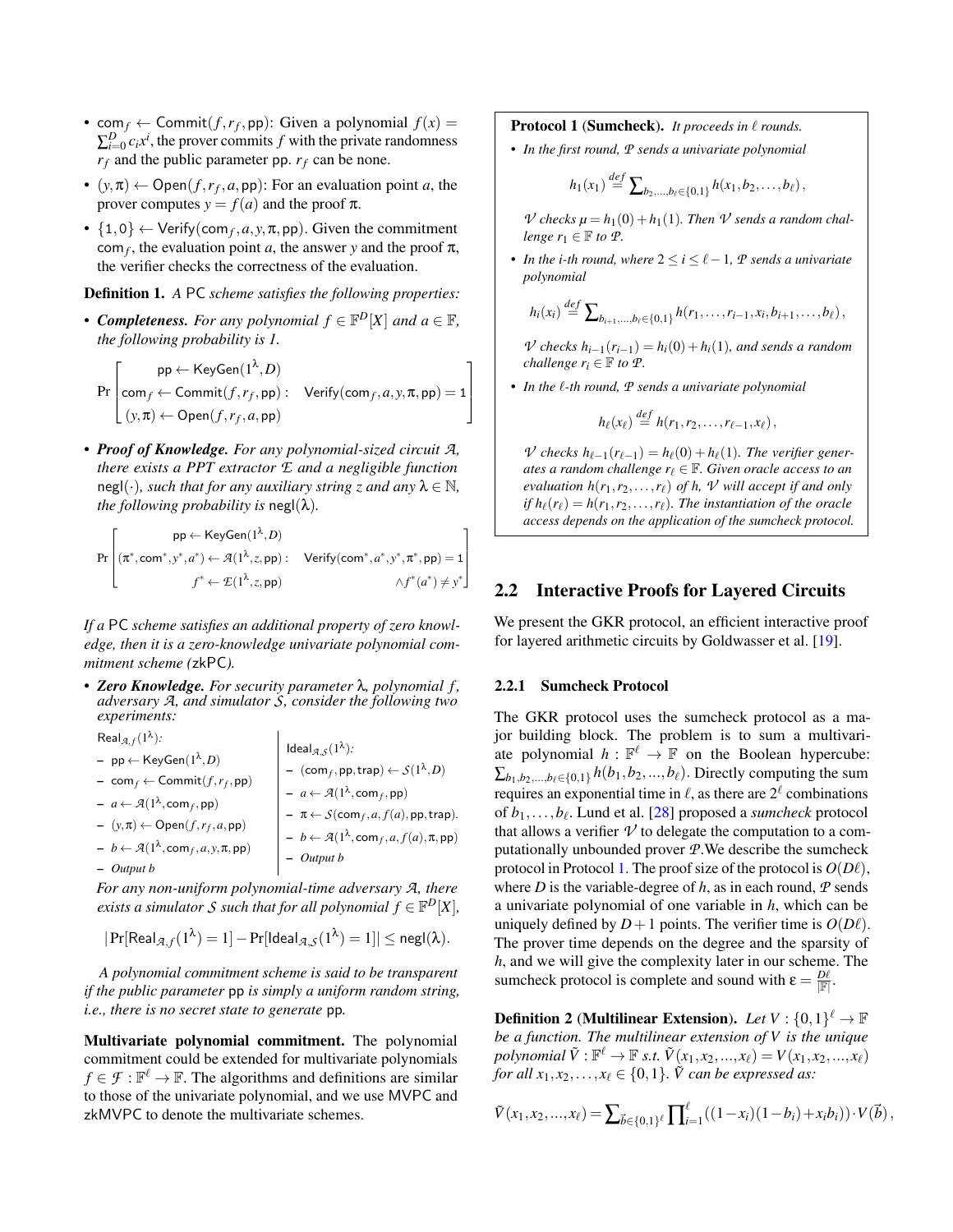- com $f \leftarrow$  Commit $(f, r_f, pp)$ : Given a polynomial  $f(x) =$  $\sum_{i=0}^{D} c_i x^i$ , the prover commits *f* with the private randomness  $r_f$  and the public parameter pp.  $r_f$  can be none.
- $(y, \pi) \leftarrow \text{Open}(f, r_f, a, \text{pp})$ : For an evaluation point *a*, the prover computes  $y = f(a)$  and the proof  $\pi$ .
- $\{1,0\} \leftarrow$  Verify(com<sub>f</sub>, *a*, *y*,  $\pi$ , *pp*). Given the commitment  $\text{com}_f$ , the evaluation point *a*, the answer *y* and the proof  $\pi$ , the verifier checks the correctness of the evaluation.

<span id="page-5-2"></span>Definition 1. *A* PC *scheme satisfies the following properties:*

• *Completeness. For any polynomial*  $f \in \mathbb{F}^D[X]$  *and*  $a \in \mathbb{F}$ *, the following probability is 1.*

Pr  $\sqrt{ }$  $\Big\}$  $\mathsf{pp}\leftarrow \mathsf{KeyGen}(1^\lambda,D)$  $\mathsf{com}_f \leftarrow \mathsf{Commit}(f,r_f,\mathsf{pp}) : \quad \mathsf{Verify}(\mathsf{com}_f,a,y,\pi,\mathsf{pp}) = 1$  $(y, \pi) \leftarrow \mathsf{Open}(f, r_f, a, \mathsf{pp})$ 1  $\Big\}$ 

• *Proof of Knowledge. For any polynomial-sized circuit A, there exists a PPT extractor E and a negligible function* negl(·)*, such that for any auxiliary string z and any*  $\lambda \in \mathbb{N}$ *, the following probability is*  $negl(\lambda)$ *.* 

$$
\Pr\left[\begin{matrix}\mathsf{pp} \leftarrow \mathsf{KeyGen}(1^\lambda,D)\\ (\pi^*,\mathsf{com}^*,y^*,a^*) \leftarrow \mathcal{A}(1^\lambda,z,\mathsf{pp}): & \mathsf{Verify}(\mathsf{com}^*,a^*,y^*,\pi^*,\mathsf{pp})=1\\ f^* \leftarrow \mathcal{L}(1^\lambda,z,\mathsf{pp}) & \wedge f^*(a^*) \neq y^* \end{matrix}\right]
$$

*If a* PC *scheme satisfies an additional property of zero knowledge, then it is a zero-knowledge univariate polynomial commitment scheme (*zkPC*).*

• *Zero Knowledge. For security parameter* λ*, polynomial f , adversary A, and simulator S, consider the following two experiments:*

 $\mathbf{I}$ 

Real*A*, *<sup>f</sup>*(1 λ )*:* – pp ← KeyGen(1 λ ,*D*) – com*<sup>f</sup>* ← Commit(*f*,*r<sup>f</sup>* ,pp) – *a* ← *A*(1 λ ,com*<sup>f</sup>* ,pp) – (*y*,π) ← Open(*f*,*r<sup>f</sup>* ,*a*,pp) – *b* ← *A*(1 λ ,com*<sup>f</sup>* ,*a*, *y*,π,pp) – *Output b* Ideal*A*,*<sup>S</sup>* (1 λ )*:* – (com*<sup>f</sup>* ,pp,trap) ← *S*(1 λ ,*D*) – *a* ← *A*(1 λ ,com*<sup>f</sup>* ,pp) – π ← *S*(com*<sup>f</sup>* ,*a*, *f*(*a*),pp,trap)*.* – *b* ← *A*(1 λ ,com*<sup>f</sup>* ,*a*, *f*(*a*),π,pp) – *Output b*

*For any non-uniform polynomial-time adversary A, there exists a simulator S such that for all polynomial*  $f \in \mathbb{F}^D[X]$ ,

$$
|\Pr[\mathsf{Real}_{\mathcal{A},f}(1^{\lambda})=1]-\Pr[\mathsf{Ideal}_{\mathcal{A},\mathcal{S}}(1^{\lambda})=1]|\leq \mathsf{negl}(\lambda).
$$

*A polynomial commitment scheme is said to be transparent if the public parameter* pp *is simply a uniform random string, i.e., there is no secret state to generate* pp*.*

Multivariate polynomial commitment. The polynomial commitment could be extended for multivariate polynomials  $f \in \mathcal{F} : \mathbb{F}^{\ell} \to \mathbb{F}$ . The algorithms and definitions are similar to those of the univariate polynomial, and we use MVPC and zkMVPC to denote the multivariate schemes.

#### <span id="page-5-0"></span>Protocol 1 (Sumcheck). *It proceeds in*  $\ell$  *rounds.*

• *In the first round, P sends a univariate polynomial*

$$
h_1(x_1) \stackrel{def}{=} \sum_{b_2,\dots,b_\ell \in \{0,1\}} h(x_1,b_2,\dots,b_\ell),
$$

*V* checks  $\mu = h_1(0) + h_1(1)$ . Then *V* sends a random chal*lenge*  $r_1 \in \mathbb{F}$  *to*  $\mathcal{P}$ *.* 

• In the *i-th round, where*  $2 \le i \le \ell - 1$ ,  $\mathcal{P}$  *sends a univariate polynomial*

$$
h_i(x_i) \stackrel{def}{=} \sum_{b_{i+1},...,b_\ell \in \{0,1\}} h(r_1,...,r_{i-1},x_i,b_{i+1},...,b_\ell),
$$

*V* checks  $h_{i-1}(r_{i-1}) = h_i(0) + h_i(1)$ *, and sends a random challenge*  $r_i \in \mathbb{F}$  *to*  $\mathcal{P}$ *.* 

• In the  $\ell$ -th round,  $\mathcal P$  sends a univariate polynomial

$$
h_{\ell}(x_{\ell}) \stackrel{def}{=} h(r_1,r_2,\ldots,r_{\ell-1},x_{\ell}),
$$

*V checks*  $h_{\ell-1}(r_{\ell-1}) = h_{\ell}(0) + h_{\ell}(1)$ *. The verifier generates a random challenge*  $r_\ell \in \mathbb{F}$ *. Given oracle access to an evaluation*  $h(r_1, r_2, \ldots, r_\ell)$  *of*  $h$ ,  $\nu$  *will accept if and only if*  $h_{\ell}(r_{\ell}) = h(r_1, r_2, \ldots, r_{\ell})$ *. The instantiation of the oracle access depends on the application of the sumcheck protocol.*

### <span id="page-5-1"></span>2.2 Interactive Proofs for Layered Circuits

We present the GKR protocol, an efficient interactive proof for layered arithmetic circuits by Goldwasser et al. [\[19\]](#page-13-4).

#### 2.2.1 Sumcheck Protocol

The GKR protocol uses the sumcheck protocol as a major building block. The problem is to sum a multivariate polynomial  $h : \mathbb{F}^{\ell} \to \mathbb{F}$  on the Boolean hypercube:  $\sum_{b_1, b_2, ..., b_\ell \in \{0,1\}} h(b_1, b_2, ..., b_\ell)$ . Directly computing the sum requires an exponential time in  $\ell$ , as there are  $2^\ell$  combinations of *b*1,...,*b*` . Lund et al. [\[28\]](#page-14-15) proposed a *sumcheck* protocol that allows a verifier  $\nu$  to delegate the computation to a computationally unbounded prover *P*.We describe the sumcheck protocol in Protocol [1.](#page-5-0) The proof size of the protocol is  $O(D\ell)$ , where *D* is the variable-degree of *h*, as in each round,  $P$  sends a univariate polynomial of one variable in *h*, which can be uniquely defined by  $D+1$  points. The verifier time is  $O(D\ell)$ . The prover time depends on the degree and the sparsity of *h*, and we will give the complexity later in our scheme. The sumcheck protocol is complete and sound with  $\varepsilon = \frac{D\ell}{\|\mathbf{F}\|}$ .

**Definition 2** (Multilinear Extension). Let  $V: \{0,1\}^{\ell} \to \mathbb{F}$ *be a function. The multilinear extension of V is the unique*  $polynomial \tilde{V}: \mathbb{F}^{\ell} \to \mathbb{F} \ s.t. \ \tilde{V}(x_1, x_2,...,x_{\ell}) = V(x_1, x_2,...,x_{\ell})$ *for all*  $x_1, x_2, \ldots, x_\ell \in \{0,1\}$ *.*  $\tilde{V}$  *can be expressed as:* 

$$
\tilde{V}(x_1,x_2,...,x_\ell) = \sum_{\vec{b} \in \{0,1\}^\ell} \prod_{i=1}^\ell ((1-x_i)(1-b_i) + x_ib_i)) \cdot V(\vec{b}),
$$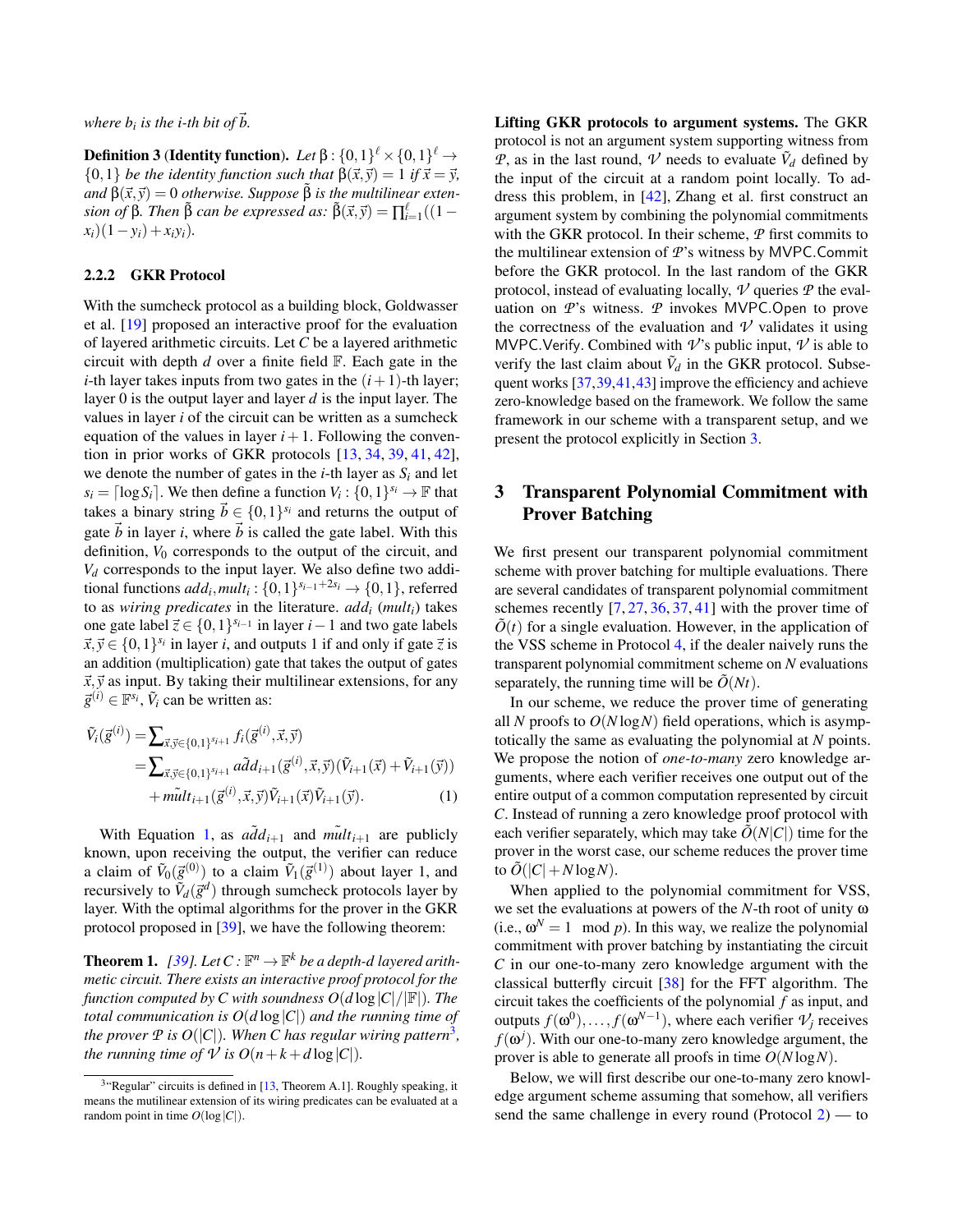where  $b_i$  is the i-th bit of  $\vec{b}$ .

**Definition 3 (Identity function).** Let  $\beta$  :  $\{0,1\}^{\ell} \times \{0,1\}^{\ell} \rightarrow$  $\{0,1\}$  *be the identity function such that*  $\beta(\vec{x}, \vec{y}) = 1$  *if*  $\vec{x} = \vec{y}$ ,  $\alpha$ *and*  $\beta(\vec{x}, \vec{y}) = 0$  *otherwise. Suppose*  $\beta$  *is the multilinear extension of* β. Then  $\tilde{\beta}$  *can be expressed as:*  $\tilde{\beta}(\vec{x}, \vec{y}) = \prod_{i=1}^{\ell}((1 - \vec{y})^2 + \vec{y})$  $(x_i)(1-y_i) + x_i y_i$ .

#### 2.2.2 GKR Protocol

With the sumcheck protocol as a building block, Goldwasser et al. [\[19\]](#page-13-4) proposed an interactive proof for the evaluation of layered arithmetic circuits. Let *C* be a layered arithmetic circuit with depth *d* over a finite field F. Each gate in the *i*-th layer takes inputs from two gates in the  $(i + 1)$ -th layer; layer 0 is the output layer and layer *d* is the input layer. The values in layer *i* of the circuit can be written as a sumcheck equation of the values in layer  $i+1$ . Following the convention in prior works of GKR protocols [\[13,](#page-13-13) [34,](#page-14-16) [39,](#page-14-7) [41,](#page-14-6) [42\]](#page-14-17), we denote the number of gates in the *i*-th layer as  $S_i$  and let  $s_i = \lceil \log S_i \rceil$ . We then define a function  $V_i : \{0, 1\}^{s_i} \to \mathbb{F}$  that takes a binary string  $\vec{b} \in \{0,1\}^{s_i}$  and returns the output of gate  $\vec{b}$  in layer *i*, where  $\vec{b}$  is called the gate label. With this definition,  $V_0$  corresponds to the output of the circuit, and *V<sup>d</sup>* corresponds to the input layer. We also define two additional functions  $add_i, mult_i: \{0, 1\}^{s_{i-1}+2s_i} \rightarrow \{0, 1\}$ , referred to as *wiring predicates* in the literature. *add<sup>i</sup>* (*multi*) takes one gate label  $\vec{z}$  ∈ {0, 1}<sup>*s*<sub>*i*</sub>−1</sup> in layer *i* − 1 and two gate labels  $\vec{x}, \vec{y} \in \{0, 1\}^{s_i}$  in layer *i*, and outputs 1 if and only if gate  $\vec{z}$  is an addition (multiplication) gate that takes the output of gates  $\vec{x}, \vec{y}$  as input. By taking their multilinear extensions, for any  $\vec{g}^{(i)} \in \mathbb{F}^{s_i}$ ,  $\tilde{V}_i$  can be written as:

$$
\tilde{V}_{i}(\vec{g}^{(i)}) = \sum_{\vec{x}, \vec{y} \in \{0, 1\}^{s_{i+1}}} f_{i}(\vec{g}^{(i)}, \vec{x}, \vec{y}) \n= \sum_{\vec{x}, \vec{y} \in \{0, 1\}^{s_{i+1}}} a \tilde{d} d_{i+1}(\vec{g}^{(i)}, \vec{x}, \vec{y}) (\tilde{V}_{i+1}(\vec{x}) + \tilde{V}_{i+1}(\vec{y})) \n+ m \tilde{u} t_{i+1}(\vec{g}^{(i)}, \vec{x}, \vec{y}) \tilde{V}_{i+1}(\vec{x}) \tilde{V}_{i+1}(\vec{y}).
$$
\n(1)

With Equation [1,](#page-6-1) as  $a\tilde{d}d_{i+1}$  and  $m\tilde{u}dt_{i+1}$  are publicly known, upon receiving the output, the verifier can reduce a claim of  $\tilde{V}_0(\vec{g}^{(0)})$  to a claim  $\tilde{V}_1(\vec{g}^{(1)})$  about layer 1, and recursively to  $\tilde{V}_d(\vec{g}^d)$  through sumcheck protocols layer by layer. With the optimal algorithms for the prover in the GKR protocol proposed in [\[39\]](#page-14-7), we have the following theorem:

<span id="page-6-3"></span>**Theorem 1.** [\[39\]](#page-14-7). Let  $C : \mathbb{F}^n \to \mathbb{F}^k$  be a depth-d layered arith*metic circuit. There exists an interactive proof protocol for the function computed by C with soundness*  $O(d \log |C|/|F|)$ *. The total communication is*  $O(d \log |C|)$  *and the running time of* the prover  $\mathcal P$  is  $O(|C|)$ . When  $C$  has regular wiring pattern<sup>[3](#page-6-2)</sup>, *the running time of*  $V$  *is*  $O(n+k+d \log|C|)$ *.* 

Lifting GKR protocols to argument systems. The GKR protocol is not an argument system supporting witness from *P*, as in the last round, *V* needs to evaluate  $\tilde{V}_d$  defined by the input of the circuit at a random point locally. To address this problem, in [\[42\]](#page-14-17), Zhang et al. first construct an argument system by combining the polynomial commitments with the GKR protocol. In their scheme, *P* first commits to the multilinear extension of *P*'s witness by MVPC.Commit before the GKR protocol. In the last random of the GKR protocol, instead of evaluating locally,  $\nu$  queries  $\nu$  the evaluation on *P*'s witness. *P* invokes MVPC.Open to prove the correctness of the evaluation and  $\nu$  validates it using MVPC. Verify. Combined with  $\nu$ 's public input,  $\nu$  is able to verify the last claim about  $\tilde{V}_d$  in the GKR protocol. Subsequent works [\[37](#page-14-18)[,39,](#page-14-7)[41,](#page-14-6)[43\]](#page-14-19) improve the efficiency and achieve zero-knowledge based on the framework. We follow the same framework in our scheme with a transparent setup, and we present the protocol explicitly in Section [3.](#page-6-0)

## <span id="page-6-0"></span>3 Transparent Polynomial Commitment with Prover Batching

We first present our transparent polynomial commitment scheme with prover batching for multiple evaluations. There are several candidates of transparent polynomial commitment schemes recently  $[7, 27, 36, 37, 41]$  $[7, 27, 36, 37, 41]$  $[7, 27, 36, 37, 41]$  $[7, 27, 36, 37, 41]$  $[7, 27, 36, 37, 41]$  $[7, 27, 36, 37, 41]$  $[7, 27, 36, 37, 41]$  $[7, 27, 36, 37, 41]$  $[7, 27, 36, 37, 41]$  with the prover time of  $\ddot{O}(t)$  for a single evaluation. However, in the application of the VSS scheme in Protocol [4,](#page-15-0) if the dealer naively runs the transparent polynomial commitment scheme on *N* evaluations separately, the running time will be  $\tilde{O}(Nt)$ .

<span id="page-6-1"></span>In our scheme, we reduce the prover time of generating all *N* proofs to *O*(*N* log*N*) field operations, which is asymptotically the same as evaluating the polynomial at *N* points. We propose the notion of *one-to-many* zero knowledge arguments, where each verifier receives one output out of the entire output of a common computation represented by circuit *C*. Instead of running a zero knowledge proof protocol with each verifier separately, which may take  $\tilde{O}(N|C|)$  time for the prover in the worst case, our scheme reduces the prover time to  $\tilde{O}(|C|+N\log N)$ .

When applied to the polynomial commitment for VSS, we set the evaluations at powers of the *N*-th root of unity ω (i.e.,  $\omega^N = 1 \mod p$ ). In this way, we realize the polynomial commitment with prover batching by instantiating the circuit *C* in our one-to-many zero knowledge argument with the classical butterfly circuit [\[38\]](#page-14-22) for the FFT algorithm. The circuit takes the coefficients of the polynomial *f* as input, and outputs  $f(\omega^0), \ldots, f(\omega^{N-1})$ , where each verifier  $\mathcal{V}_j$  receives  $f(\omega^j)$ . With our one-to-many zero knowledge argument, the prover is able to generate all proofs in time *O*(*N* log*N*).

Below, we will first describe our one-to-many zero knowledge argument scheme assuming that somehow, all verifiers send the same challenge in every round (Protocol [2\)](#page-7-0) — to

<span id="page-6-2"></span> $3$ "Regular" circuits is defined in [\[13,](#page-13-13) Theorem A.1]. Roughly speaking, it means the mutilinear extension of its wiring predicates can be evaluated at a random point in time  $O(\log|C|)$ .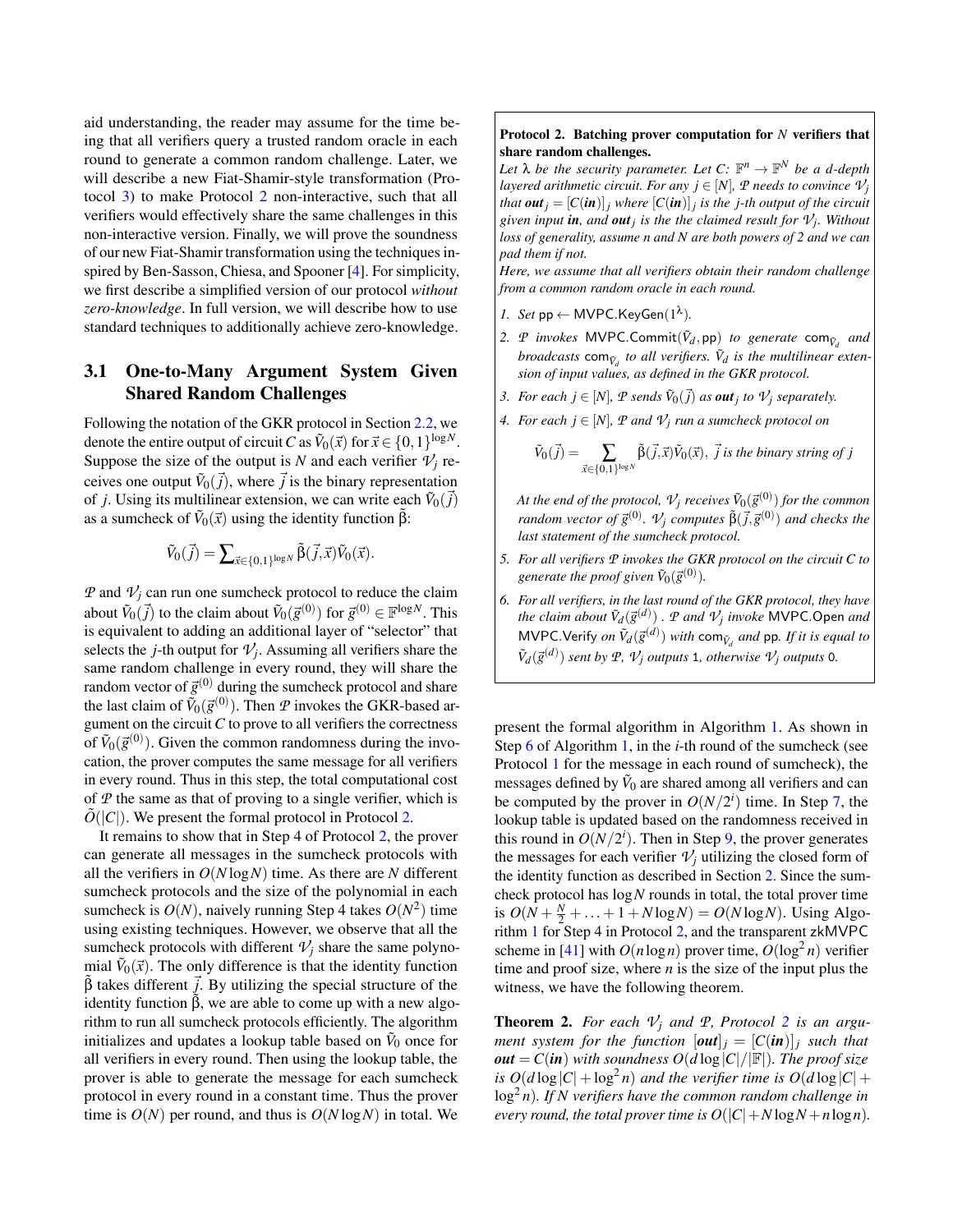aid understanding, the reader may assume for the time being that all verifiers query a trusted random oracle in each round to generate a common random challenge. Later, we will describe a new Fiat-Shamir-style transformation (Protocol [3\)](#page-10-0) to make Protocol [2](#page-7-0) non-interactive, such that all verifiers would effectively share the same challenges in this non-interactive version. Finally, we will prove the soundness of our new Fiat-Shamir transformation using the techniques inspired by Ben-Sasson, Chiesa, and Spooner [\[4\]](#page-13-7). For simplicity, we first describe a simplified version of our protocol *without zero-knowledge*. In full version, we will describe how to use standard techniques to additionally achieve zero-knowledge.

## 3.1 One-to-Many Argument System Given Shared Random Challenges

Following the notation of the GKR protocol in Section [2.2,](#page-5-1) we denote the entire output of circuit *C* as  $\tilde{V}_0(\vec{x})$  for  $\vec{x} \in \{0,1\}^{\log N}$ . Suppose the size of the output is *N* and each verifier  $\mathcal{V}_i$  receives one output  $\tilde{V}_0(\vec{j})$ , where  $\vec{j}$  is the binary representation of *j*. Using its multilinear extension, we can write each  $\tilde{V}_0(\vec{j})$ as a sumcheck of  $\tilde{V}_0(\vec{x})$  using the identity function  $\tilde{\beta}$ :

$$
\tilde{V}_0(\vec{j}) = \sum\nolimits_{\vec{x} \in \{0,1\}^{\log N}} \tilde{\beta}(\vec{j},\vec{x}) \tilde{V}_0(\vec{x}).
$$

*P* and  $V_i$  can run one sumcheck protocol to reduce the claim about  $\tilde{V}_0(\vec{j})$  to the claim about  $\tilde{V}_0(\vec{g}^{(0)})$  for  $\vec{g}^{(0)} \in \mathbb{F}^{\log N}$ . This is equivalent to adding an additional layer of "selector" that selects the *j*-th output for  $\mathcal{V}_j$ . Assuming all verifiers share the same random challenge in every round, they will share the random vector of  $\vec{g}^{(0)}$  during the sumcheck protocol and share the last claim of  $\tilde{V}_0(\vec{g}^{(0)})$ . Then  $P$  invokes the GKR-based argument on the circuit  $C$  to prove to all verifiers the correctness of  $\tilde{V}_0(\vec{g}^{(0)})$ . Given the common randomness during the invocation, the prover computes the same message for all verifiers in every round. Thus in this step, the total computational cost of *P* the same as that of proving to a single verifier, which is  $O(|C|)$ . We present the formal protocol in Protocol [2.](#page-7-0)

It remains to show that in Step 4 of Protocol [2,](#page-7-0) the prover can generate all messages in the sumcheck protocols with all the verifiers in *O*(*N* log*N*) time. As there are *N* different sumcheck protocols and the size of the polynomial in each sumcheck is  $O(N)$ , naively running Step 4 takes  $O(N^2)$  time using existing techniques. However, we observe that all the sumcheck protocols with different  $V_i$  share the same polynomial  $\tilde{V}_0(\vec{x})$ . The only difference is that the identity function  $\hat{\beta}$  takes different  $\vec{j}$ . By utilizing the special structure of the identity function  $\hat{\beta}$ , we are able to come up with a new algorithm to run all sumcheck protocols efficiently. The algorithm initializes and updates a lookup table based on  $\tilde{V}_0$  once for all verifiers in every round. Then using the lookup table, the prover is able to generate the message for each sumcheck protocol in every round in a constant time. Thus the prover time is  $O(N)$  per round, and thus is  $O(N \log N)$  in total. We

#### <span id="page-7-0"></span>Protocol 2. Batching prover computation for *N* verifiers that share random challenges.

Let  $\lambda$  *be the security parameter. Let*  $C: \mathbb{F}^n \to \mathbb{F}^N$  *be a d-depth layered arithmetic circuit. For any*  $j \in [N]$ *,*  $P$  *needs to convince*  $V_j$ *that*  $\boldsymbol{out}_j = [C(\boldsymbol{in})]_j$  *where*  $[C(\boldsymbol{in})]_j$  *is the j-th output of the circuit given input in, and out<sup>j</sup> is the the claimed result for V<sup>j</sup> . Without loss of generality, assume n and N are both powers of 2 and we can pad them if not.*

*Here, we assume that all verifiers obtain their random challenge from a common random oracle in each round.*

- *1. Set*  $pp \leftarrow MVPC.KeyGen(1^{\lambda})$ *.*
- 2. *P invokes* MVPC.Commit( $\tilde{V}_d$ ,pp) *to generate* com $_{\tilde{V}_d}$  *and broadcasts*  $\text{com}_{\tilde{V}_d}$  *to all verifiers.*  $\tilde{V}_d$  *is the multilinear extension of input values, as defined in the GKR protocol.*
- *3. For each*  $j \in [N]$ ,  $P$  *sends*  $\tilde{V}_0(\vec{j})$  *as out*<sub>*j*</sub> to  $V_j$  *separately.*
- *4. For each*  $j \in [N]$ *,*  $P$  *and*  $V_j$  *run a sumcheck protocol on*

$$
\widetilde{V}_0(\vec{j}) = \sum_{\vec{x} \in \{0,1\}^{\log N}} \widetilde{\beta}(\vec{j},\vec{x}) \widetilde{V}_0(\vec{x}), \ \vec{j} \ \text{is the binary string of } j
$$

At the end of the protocol,  $\mathcal{V}_j$  receives  $\tilde{V}_0(\vec{g}^{(0)})$  for the common  $r$ andom vector of  $\vec{g}^{(0)}$ .  $\mathcal{V}_j$  computes  $\tilde{\beta}(\vec{j},\vec{g}^{(0)})$  and checks the *last statement of the sumcheck protocol.*

- *5. For all verifiers P invokes the GKR protocol on the circuit C to* generate the proof given  $\tilde{V}_0(\vec{g}^{(0)})$ .
- *6. For all verifiers, in the last round of the GKR protocol, they have the claim about*  $\tilde{V}_d(\vec{g}^{(d)})$  *.*  $P$  *and*  $V_j$  *invoke* MVPC.Open *and* MVPC.Verify *on*  $\tilde{V}_d(\vec{g}^{(d)})$  *with* com $_{\tilde{V}_d}$  *and* pp. If it is equal to  $\tilde{V}_d(\vec{g}^{(d)})$  *sent by*  $P$ *,*  $V_j$  *outputs* 1*, otherwise*  $V_j$  *outputs* 0*.*

present the formal algorithm in Algorithm [1.](#page-8-0) As shown in Step [6](#page-8-0) of Algorithm [1,](#page-8-0) in the *i*-th round of the sumcheck (see Protocol [1](#page-5-0) for the message in each round of sumcheck), the messages defined by  $\tilde{V}_0$  are shared among all verifiers and can be computed by the prover in  $O(N/2<sup>i</sup>)$  time. In Step [7,](#page-8-0) the lookup table is updated based on the randomness received in this round in  $O(N/2<sup>i</sup>)$ . Then in Step [9,](#page-8-0) the prover generates the messages for each verifier  $V_j$  utilizing the closed form of the identity function as described in Section [2.](#page-4-0) Since the sumcheck protocol has log*N* rounds in total, the total prover time is  $O(N + \frac{N}{2} + \ldots + 1 + N \log N) = O(N \log N)$ . Using Algorithm [1](#page-8-0) for Step 4 in Protocol [2,](#page-7-0) and the transparent zkMVPC scheme in [\[41\]](#page-14-6) with  $O(n \log n)$  prover time,  $O(\log^2 n)$  verifier time and proof size, where *n* is the size of the input plus the witness, we have the following theorem.

**Theorem [2](#page-7-0).** For each  $V_i$  and  $P$ , Protocol 2 is an argu*ment system for the function*  $[\textbf{out}]_i = [C(\textbf{in})]_i$  *such that*  $out = C(in)$  *with soundness*  $O(d \log |C|/|F|)$ *. The proof size is*  $O(d \log |C| + \log^2 n)$  *and the verifier time is*  $O(d \log |C| + \log^2 n)$ log<sup>2</sup> *n*)*. If N verifiers have the common random challenge in every round, the total prover time is*  $O(|C|+N \log N+n \log n)$ *.*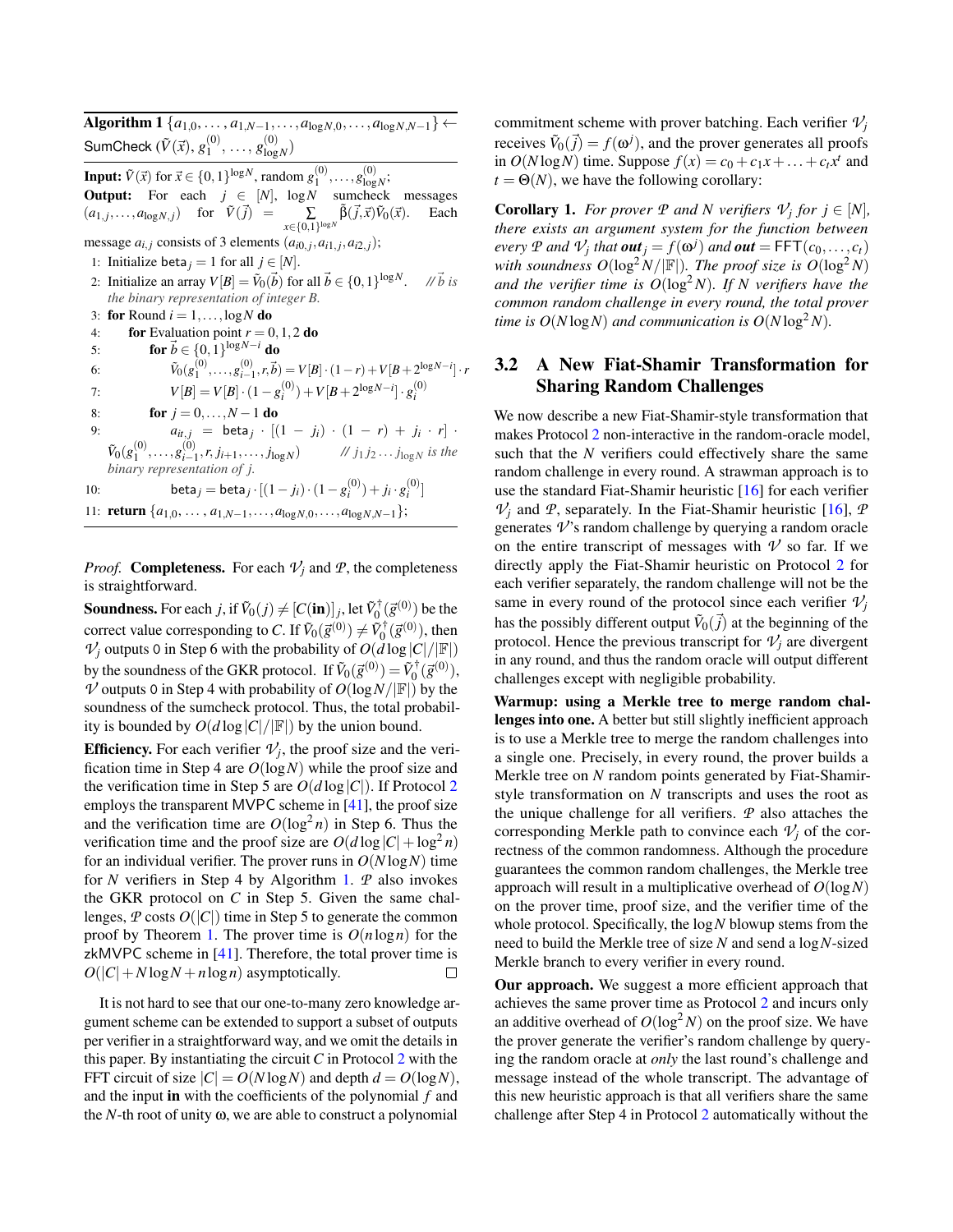<span id="page-8-0"></span> $\overline{Algorithm\ 1} \{a_{1,0}, \ldots, a_{1,N-1}, \ldots, a_{\log N,0}, \ldots, a_{\log N,N-1}\}$  ← SumCheck  $(\tilde{V}(\vec{x}), g_1^{(0)})$  $\binom{0}{1}, \ldots, g^{(0)}_{\log}$  $\frac{10}{\log N}$ **Input:**  $\tilde{V}(\vec{x})$  for  $\vec{x} \in \{0, 1\}^{\log N}$ , random  $g_1^{(0)}, \ldots, g_{\log N}^{(0)}$ ; **Output:** For each  $j \in [N]$ , log *N* sumcheck messages  $(a_{1,j},...,a_{\log N,j})$  for  $\tilde{V}(\vec{j}) = \sum_{x \in \{0,1\}^{\log N}} \tilde{\beta}(\vec{j},\vec{x}) \tilde{V}_0(\vec{x})$ . Each message  $a_{i,j}$  consists of 3 elements  $(a_{i0,j}, a_{i1,j}, a_{i2,j});$ 1: Initialize beta<sub>*j*</sub> = 1 for all *j*  $\in$  [*N*]. 2: Initialize an array  $V[B] = \tilde{V}_0(\vec{b})$  for all  $\vec{b} \in \{0,1\}^{\log N}$ . // $\vec{b}$  is *the binary representation of integer B.* 3: for Round  $i = 1, \ldots, \log N$  do 4: **for** Evaluation point  $r = 0, 1, 2$  do 5: **for**  $\vec{b} \in \{0, 1\}^{\log N - i}$  do 6:  $\tilde{V}_0(g_1^{(0)}, \ldots, g_{i-1}^{(0)}, r, \vec{b}) = V[B] \cdot (1-r) + V[B+2^{\log N-i}] \cdot r$ 7:  $V[B] = V[B] \cdot (1 - g_i^{(0)}) + V[B + 2^{\log N - i}] \cdot g_i^{(0)}$ 8: **for**  $j = 0, ..., N - 1$  **do** 9:  $a_{it,j} = \text{beta}_j \cdot [(1-j_i) \cdot (1-r) + j_i \cdot r]$  $\tilde{V}_0(g_1^{(0)}, \ldots, g_{i-1}^{(0)}, r, j_{i+1}, \ldots, j_{\log N})$  //  $j_1 j_2 \ldots j_{\log N}$  is the *binary representation of j.* 10: **beta**<sub>*j*</sub> = **beta**<sub>*j*</sub> ·  $[(1 - j_i) \cdot (1 - g_i^{(0)}) + j_i \cdot g_i^{(0)}]$ 11: **return**  $\{a_{1,0}, \ldots, a_{1,N-1}, \ldots, a_{\log N,0}, \ldots, a_{\log N,N-1}\};$ 

*Proof.* **Completeness.** For each  $V_i$  and  $P$ , the completeness is straightforward.

 ${\bf Soundness.}$  For each  $j$ , if  $\tilde{V}_0(j) \neq [C(\textbf{in})]_j$ , let  $\tilde{V}_0^{\dagger}(\vec{g}^{(0)})$  be the correct value corresponding to *C*. If  $\tilde{V}_0(\vec{g}^{(0)}) \neq \tilde{V}_0^{\dagger}(\vec{g}^{(0)})$ , then  $V_j$  outputs 0 in Step 6 with the probability of  $O(d \log |C|/|\mathbb{F}|)$ by the soundness of the GKR protocol. If  $\tilde{V}_0(\vec{g}^{(0)}) = \tilde{V}_0^{\dagger}(\vec{g}^{(0)}),$  $\nu$  outputs 0 in Step 4 with probability of  $O(\log N/|\mathbb{F}|)$  by the soundness of the sumcheck protocol. Thus, the total probability is bounded by  $O(d \log |C|/|\mathbb{F}|)$  by the union bound.

**Efficiency.** For each verifier  $V_j$ , the proof size and the verification time in Step 4 are *O*(log*N*) while the proof size and the verification time in Step 5 are  $O(d \log |C|)$ . If Protocol [2](#page-7-0) employs the transparent MVPC scheme in [\[41\]](#page-14-6), the proof size and the verification time are  $O(\log^2 n)$  in Step 6. Thus the verification time and the proof size are  $O(d \log |C| + \log^2 n)$ for an individual verifier. The prover runs in  $O(N \log N)$  time for *N* verifiers in Step 4 by Algorithm [1.](#page-8-0) *P* also invokes the GKR protocol on *C* in Step 5. Given the same challenges,  $P$  costs  $O(|C|)$  time in Step 5 to generate the common proof by Theorem [1.](#page-6-3) The prover time is *O*(*n*log*n*) for the zkMVPC scheme in [\[41\]](#page-14-6). Therefore, the total prover time is  $O(|C| + N \log N + n \log n)$  asymptotically.  $\Box$ 

It is not hard to see that our one-to-many zero knowledge argument scheme can be extended to support a subset of outputs per verifier in a straightforward way, and we omit the details in this paper. By instantiating the circuit *C* in Protocol [2](#page-7-0) with the FFT circuit of size  $|C| = O(N \log N)$  and depth  $d = O(\log N)$ , and the input in with the coefficients of the polynomial *f* and the *N*-th root of unity  $\omega$ , we are able to construct a polynomial

commitment scheme with prover batching. Each verifier  $V_i$ receives  $\tilde{V}_0(\vec{j}) = f(\omega^j)$ , and the prover generates all proofs in  $O(N \log N)$  time. Suppose  $f(x) = c_0 + c_1x + \ldots + c_tx^t$  and  $t = \Theta(N)$ , we have the following corollary:

**Corollary 1.** *For prover*  $P$  *and*  $N$  *verifiers*  $V_j$  *for*  $j \in [N]$ *, there exists an argument system for the function between every*  $P$  *and*  $V_j$  *that*  $\textbf{out}_j = f(\omega^j)$  *and*  $\textbf{out} = \textsf{FFT}(c_0, \ldots, c_t)$ *with soundness*  $O(\log^2 N / |\mathbb{F}|)$ *. The proof size is*  $O(\log^2 N)$ *and the verifier time is*  $O(log^2 N)$ *. If N verifiers have the common random challenge in every round, the total prover time is*  $O(N \log N)$  *and communication is*  $O(N \log^2 N)$ *.* 

## 3.2 A New Fiat-Shamir Transformation for Sharing Random Challenges

We now describe a new Fiat-Shamir-style transformation that makes Protocol [2](#page-7-0) non-interactive in the random-oracle model, such that the *N* verifiers could effectively share the same random challenge in every round. A strawman approach is to use the standard Fiat-Shamir heuristic [\[16\]](#page-13-15) for each verifier  $V_i$  and  $P$ , separately. In the Fiat-Shamir heuristic [\[16\]](#page-13-15),  $P$ generates  $\nu$ 's random challenge by querying a random oracle on the entire transcript of messages with  $\nu$  so far. If we directly apply the Fiat-Shamir heuristic on Protocol [2](#page-7-0) for each verifier separately, the random challenge will not be the same in every round of the protocol since each verifier  $V_i$ has the possibly different output  $\tilde{V}_0(\vec{j})$  at the beginning of the protocol. Hence the previous transcript for  $\mathcal{V}_i$  are divergent in any round, and thus the random oracle will output different challenges except with negligible probability.

Warmup: using a Merkle tree to merge random challenges into one. A better but still slightly inefficient approach is to use a Merkle tree to merge the random challenges into a single one. Precisely, in every round, the prover builds a Merkle tree on *N* random points generated by Fiat-Shamirstyle transformation on *N* transcripts and uses the root as the unique challenge for all verifiers. *P* also attaches the corresponding Merkle path to convince each  $V_i$  of the correctness of the common randomness. Although the procedure guarantees the common random challenges, the Merkle tree approach will result in a multiplicative overhead of *O*(log*N*) on the prover time, proof size, and the verifier time of the whole protocol. Specifically, the log*N* blowup stems from the need to build the Merkle tree of size *N* and send a log*N*-sized Merkle branch to every verifier in every round.

Our approach. We suggest a more efficient approach that achieves the same prover time as Protocol [2](#page-7-0) and incurs only an additive overhead of  $O(log^2 N)$  on the proof size. We have the prover generate the verifier's random challenge by querying the random oracle at *only* the last round's challenge and message instead of the whole transcript. The advantage of this new heuristic approach is that all verifiers share the same challenge after Step 4 in Protocol [2](#page-7-0) automatically without the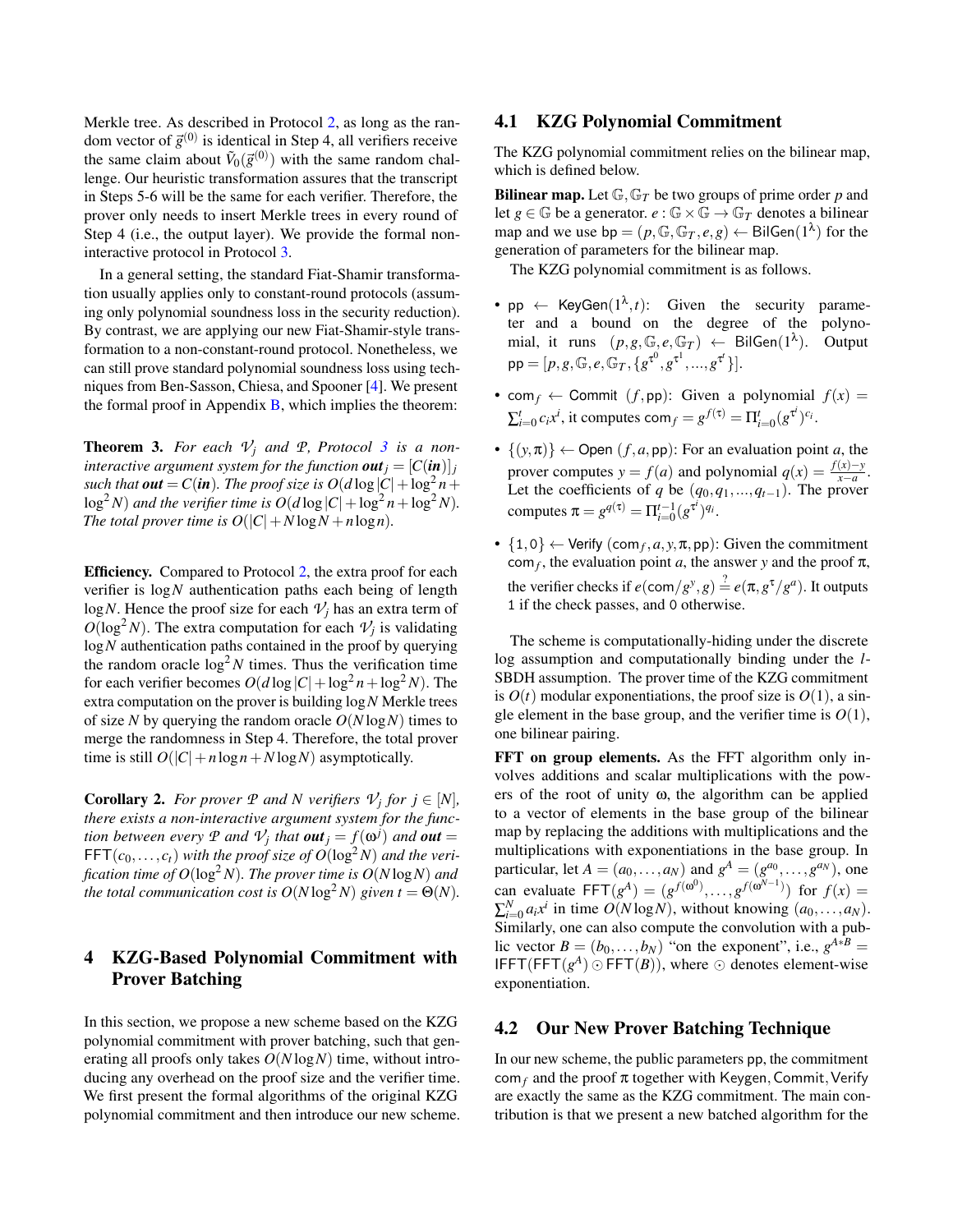Merkle tree. As described in Protocol [2,](#page-7-0) as long as the random vector of  $\vec{g}^{(0)}$  is identical in Step 4, all verifiers receive the same claim about  $\tilde{V}_0(\vec{g}^{(0)})$  with the same random challenge. Our heuristic transformation assures that the transcript in Steps 5-6 will be the same for each verifier. Therefore, the prover only needs to insert Merkle trees in every round of Step 4 (i.e., the output layer). We provide the formal noninteractive protocol in Protocol [3.](#page-10-0)

In a general setting, the standard Fiat-Shamir transformation usually applies only to constant-round protocols (assuming only polynomial soundness loss in the security reduction). By contrast, we are applying our new Fiat-Shamir-style transformation to a non-constant-round protocol. Nonetheless, we can still prove standard polynomial soundness loss using techniques from Ben-Sasson, Chiesa, and Spooner [\[4\]](#page-13-7). We present the formal proof in Appendix  $\bf{B}$ , which implies the theorem:

**Theorem [3](#page-10-0).** For each  $V_i$  and  $P_i$ , Protocol 3 is a non*interactive argument system for the function out*  $j = [C(i\mathbf{n})]_j$ such that  $\boldsymbol{out} = C(\boldsymbol{in})$ . The proof size is  $O(d\log|C|+\log^2 n +$  $\log^2 N$ ) and the verifier time is  $O(d \log |C| + \log^2 n + \log^2 N)$ . *The total prover time is*  $O(|C| + N \log N + n \log n)$ *.* 

Efficiency. Compared to Protocol [2,](#page-7-0) the extra proof for each verifier is log*N* authentication paths each being of length  $log N$ . Hence the proof size for each  $V_i$  has an extra term of  $O(\log^2 N)$ . The extra computation for each  $\mathcal{V}_j$  is validating log*N* authentication paths contained in the proof by querying the random oracle  $\log^2 N$  times. Thus the verification time for each verifier becomes  $O(d \log |C| + \log^2 n + \log^2 N)$ . The extra computation on the prover is building log*N* Merkle trees of size N by querying the random oracle  $O(N \log N)$  times to merge the randomness in Step 4. Therefore, the total prover time is still  $O(|C|+n\log n + N\log N)$  asymptotically.

**Corollary 2.** For prover  $P$  and  $N$  verifiers  $V_j$  for  $j \in [N]$ , *there exists a non-interactive argument system for the function between every*  $P$  *and*  $V_j$  *that*  $\boldsymbol{out}_j = f(\boldsymbol{\omega}^j)$  *and*  $\boldsymbol{out}$  =  $FFT(c_0, \ldots, c_t)$  *with the proof size of*  $O(\log^2 N)$  *and the verification time of*  $O(\log^2 N)$ *. The prover time is*  $O(N \log N)$  *and the total communication cost is*  $O(N \log^2 N)$  *given*  $t = \Theta(N)$ *.* 

## 4 KZG-Based Polynomial Commitment with Prover Batching

In this section, we propose a new scheme based on the KZG polynomial commitment with prover batching, such that generating all proofs only takes *O*(*N* log*N*) time, without introducing any overhead on the proof size and the verifier time. We first present the formal algorithms of the original KZG polynomial commitment and then introduce our new scheme.

### <span id="page-9-0"></span>4.1 KZG Polynomial Commitment

The KZG polynomial commitment relies on the bilinear map, which is defined below.

**Bilinear map.** Let  $\mathbb{G}$ ,  $\mathbb{G}_T$  be two groups of prime order p and let  $g \in \mathbb{G}$  be a generator.  $e : \mathbb{G} \times \mathbb{G} \to \mathbb{G}_T$  denotes a bilinear map and we use  $bp = (p, \mathbb{G}, \mathbb{G}_T, e, g) \leftarrow \text{BilGen}(1^{\lambda})$  for the generation of parameters for the bilinear map.

The KZG polynomial commitment is as follows.

- pp  $\leftarrow$  KeyGen $(1^{\lambda}, t)$ : Given the security parameter and a bound on the degree of the polynomial, it runs  $(p, g, \mathbb{G}, e, \mathbb{G}_T) \leftarrow \text{BilGen}(1^{\lambda})$ ). Output  $\mathsf{pp} = [p, g, \mathbb{G}, e, \mathbb{G}_T, \{g^{\tau^0}, g^{\tau^1}, ..., g^{\tau^t}\}].$
- com<sub>f</sub>  $\leftarrow$  Commit (*f*,pp): Given a polynomial  $f(x)$  =  $\sum_{i=0}^{t} c_i x^i$ , it computes com<sub>*f*</sub> =  $g^{f(\tau)} = \prod_{i=0}^{t} (g^{\tau^i})^{c_i}$ .
- $\{(y,\pi)\}\leftarrow$  Open  $(f,a,pp)$ : For an evaluation point *a*, the prover computes *y* = *f*(*a*) and polynomial  $q(x) = \frac{f(x)-y}{x-a}$ . Let the coefficients of *q* be  $(q_0, q_1, \ldots, q_{t-1})$ . The prover computes  $\pi = g^{q(\tau)} = \prod_{i=0}^{t-1} (g^{\tau^i})^{q_i}$ .
- $\{1,0\} \leftarrow$  Verify  $(\text{com}_f, a, y, \pi, \text{pp})$ : Given the commitment  $\text{com}_f$ , the evaluation point *a*, the answer *y* and the proof  $\pi$ , the verifier checks if  $e(\text{com}/g^y, g) \stackrel{?}{=} e(\pi, g^{\tau}/g^a)$ . It outputs 1 if the check passes, and 0 otherwise.

The scheme is computationally-hiding under the discrete log assumption and computationally binding under the *l*-SBDH assumption. The prover time of the KZG commitment is  $O(t)$  modular exponentiations, the proof size is  $O(1)$ , a single element in the base group, and the verifier time is  $O(1)$ , one bilinear pairing.

FFT on group elements. As the FFT algorithm only involves additions and scalar multiplications with the powers of the root of unity ω, the algorithm can be applied to a vector of elements in the base group of the bilinear map by replacing the additions with multiplications and the multiplications with exponentiations in the base group. In particular, let  $A = (a_0, \dots, a_N)$  and  $g^A = (g^{a_0}, \dots, g^{a_N})$ , one can evaluate  $\text{FFT}(g^A) = (g^{f(\omega^0)}, \dots, g^{f(\omega^{N-1})})$  for  $f(x) =$  $\sum_{i=0}^{N} a_i x^i$  in time  $O(N \log N)$ , without knowing  $(a_0, \ldots, a_N)$ . Similarly, one can also compute the convolution with a public vector  $B = (b_0, \ldots, b_N)$  "on the exponent", i.e.,  $g^{A*B} =$ IFFT(FFT( $g^A$ )  $\odot$  FFT( $B$ )), where  $\odot$  denotes element-wise exponentiation.

## <span id="page-9-1"></span>4.2 Our New Prover Batching Technique

In our new scheme, the public parameters pp, the commitment com<sub>f</sub> and the proof  $\pi$  together with Keygen, Commit, Verify are exactly the same as the KZG commitment. The main contribution is that we present a new batched algorithm for the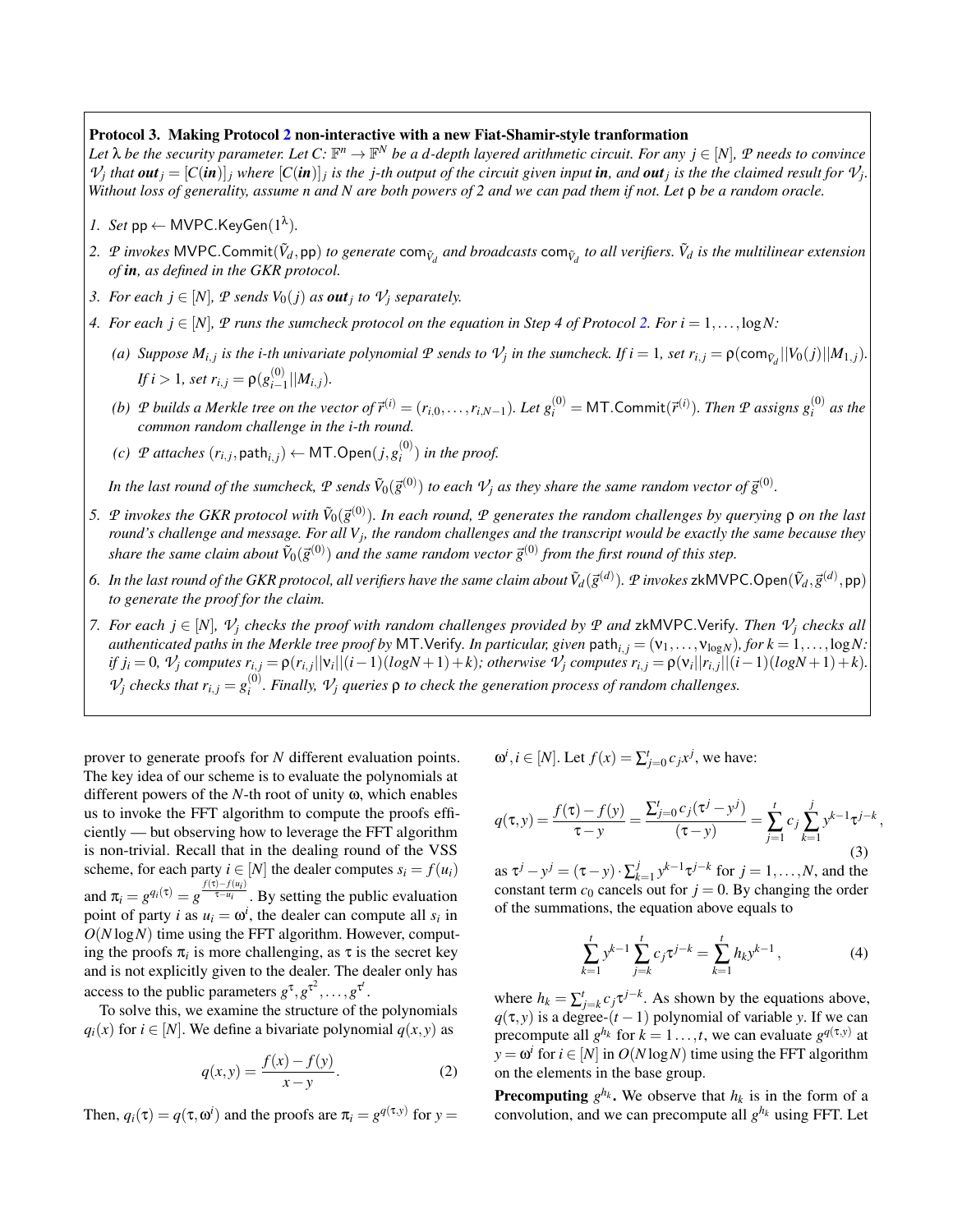#### <span id="page-10-0"></span>Protocol 3. Making Protocol [2](#page-7-0) non-interactive with a new Fiat-Shamir-style tranformation

Let  $\lambda$  be the security parameter. Let  $C: \mathbb{F}^n \to \mathbb{F}^N$  be a d-depth layered arithmetic circuit. For any  $j \in [N]$ ,  $\mathcal P$  needs to convince  $\mathcal{V}_j$  that  $out_j = [C(in)]_j$  where  $[C(in)]_j$  is the j-th output of the circuit given input in, and out<sub>j</sub> is the the claimed result for  $\mathcal{V}_j$ *. Without loss of generality, assume n and N are both powers of 2 and we can pad them if not. Let* ρ *be a random oracle.*

- *1. Set*  $pp \leftarrow \text{MVPC.KeyGen}(1^{\lambda})$ *.*
- 2.  $P$  invokes MVPC.Commit $(\tilde{V}_d,$ pp) to generate com $_{\tilde{V}_d}$  and broadcasts com $_{\tilde{V}_d}$  to all verifiers.  $\tilde{V}_d$  is the multilinear extension *of in, as defined in the GKR protocol.*
- *3. For each*  $j \in [N]$ *,*  $P$  *sends*  $V_0(j)$  *as out<sub>j</sub> to*  $V_j$  *separately.*
- *4.* For each  $j \in [N]$ ,  $\mathcal{P}$  *runs the sumcheck protocol on the equation in Step 4 of Protocol [2.](#page-7-0) For*  $i = 1, \ldots, \log N$ *:* 
	- (a) Suppose  $M_{i,j}$  is the i-th univariate polynomial  $P$  sends to  $V_j$  in the sumcheck. If  $i=1$ , set  $r_{i,j} = \rho(\textsf{com}_{\tilde{V}_d}||V_0(j)||M_{1,j})$ . *If i* > 1, set  $r_{i,j} = \rho(g_{i-1}^{(0)})$  $\binom{[0]}{i-1}$   $|M_{i,j}$ ).
	- (b)  $P$  builds a Merkle tree on the vector of  $\vec{r}^{(i)}=(r_{i,0},\ldots,r_{i,N-1})$ . Let  $g_i^{(0)}=$  MT.Commit $(\vec{r}^{(i)})$ . Then  $P$  assigns  $g_i^{(0)}$  $\int_{i}^{(0)}$  *as the common random challenge in the i-th round.*
	- $f(c)$  *P attaches*  $(r_{i,j}, \mathsf{path}_{i,j}) \leftarrow \mathsf{MT}.{\sf Open}(j, g^{(0)}_i)$  $\binom{O}{i}$  *in the proof.*

In the last round of the sumcheck,  $P$  sends  $\tilde{V}_0(\vec{g}^{(0)})$  to each  $V_j$  as they share the same random vector of  $\vec{g}^{(0)}$ .

- 5.  $P$  invokes the GKR protocol with  $\tilde{V}_0(\vec{g}^{(0)})$ . In each round,  $P$  generates the random challenges by querying  $\rho$  on the last round's challenge and message. For all V<sub>j</sub>, the random challenges and the transcript would be exactly the same because they share the same claim about  $\tilde{V}_0(\vec{g}^{(0)})$  and the same random vector  $\vec{g}^{(0)}$  from the first round of this step.
- 6. In the last round of the GKR protocol, all verifiers have the same claim about  $\tilde{V}_d(\vec{g}^{(d)}).$   $p$  invokes zkMVPC.Open $(\tilde{V}_d,\vec{g}^{(d)},$ pp) *to generate the proof for the claim.*
- *7.* For each  $j \in [N]$ ,  $\mathcal{V}_j$  checks the proof with random challenges provided by  $\mathcal{P}$  and zkMVPC.Verify. Then  $\mathcal{V}_j$  checks all *authenticated paths in the Merkle tree proof by MT. Verify. In particular, given path*<sub>i, *j*</sub> = ( $v_1, \ldots, v_{\log N}$ )*, for*  $k = 1, \ldots, \log N$ . if  $j_i = 0$ ,  $\mathcal{V}_j$  computes  $r_{i,j} = \rho(r_{i,j}||v_i||(i-1)(logN+1)+k)$ ; otherwise  $\mathcal{V}_j$  computes  $r_{i,j} = \rho(v_i||r_{i,j}||(i-1)(logN+1)+k)$ .  $V_j$  *checks that*  $r_{i,j} = g_i^{(0)}$ *i . Finally, V<sup>j</sup> queries* ρ *to check the generation process of random challenges.*

prover to generate proofs for *N* different evaluation points. The key idea of our scheme is to evaluate the polynomials at different powers of the *N*-th root of unity ω, which enables us to invoke the FFT algorithm to compute the proofs efficiently — but observing how to leverage the FFT algorithm is non-trivial. Recall that in the dealing round of the VSS scheme, for each party  $i \in [N]$  the dealer computes  $s_i = f(u_i)$ and  $\pi_i = g^{q_i(\tau)} = g^{\frac{f(\tau) - f(u_i)}{\tau - u_i}}$ . By setting the public evaluation point of party *i* as  $u_i = \omega^i$ , the dealer can compute all  $s_i$  in  $O(N \log N)$  time using the FFT algorithm. However, computing the proofs  $\pi$ <sub>*i*</sub> is more challenging, as  $\tau$  is the secret key and is not explicitly given to the dealer. The dealer only has access to the public parameters  $g^{\tau}, g^{\tau^2}, \ldots, g^{\tau^t}$ .

To solve this, we examine the structure of the polynomials  $q_i(x)$  for  $i \in [N]$ . We define a bivariate polynomial  $q(x, y)$  as

$$
q(x, y) = \frac{f(x) - f(y)}{x - y}.
$$
 (2)

Then,  $q_i(\tau) = q(\tau, \omega^i)$  and the proofs are  $\pi_i = g^{q(\tau, y)}$  for  $y =$ 

$$
\omega^i, i \in [N]
$$
. Let  $f(x) = \sum_{j=0}^t c_j x^j$ , we have:

$$
q(\tau, y) = \frac{f(\tau) - f(y)}{\tau - y} = \frac{\sum_{j=0}^{t} c_j (\tau^j - y^j)}{(\tau - y)} = \sum_{j=1}^{t} c_j \sum_{k=1}^{j} y^{k-1} \tau^{j-k},
$$
\n(3)

as  $\tau^j - y^j = (\tau - y) \cdot \sum_k^j$  $\int_{k=1}^{j} y^{k-1} \tau^{j-k}$  for  $j = 1, \ldots, N$ , and the constant term  $c_0$  cancels out for  $j = 0$ . By changing the order of the summations, the equation above equals to

$$
\sum_{k=1}^{t} y^{k-1} \sum_{j=k}^{t} c_j \tau^{j-k} = \sum_{k=1}^{t} h_k y^{k-1}, \qquad (4)
$$

where  $h_k = \sum_{j=k}^{t} c_j \tau^{j-k}$ . As shown by the equations above,  $q(\tau, y)$  is a degree- $(t-1)$  polynomial of variable *y*. If we can precompute all  $g^{h_k}$  for  $k = 1 \ldots, t$ , we can evaluate  $g^{q(\tau, y)}$  at  $y = \omega^i$  for  $i \in [N]$  in  $O(N \log N)$  time using the FFT algorithm on the elements in the base group.

**Precomputing**  $g^{h_k}$ . We observe that  $h_k$  is in the form of a convolution, and we can precompute all  $g^{h_k}$  using FFT. Let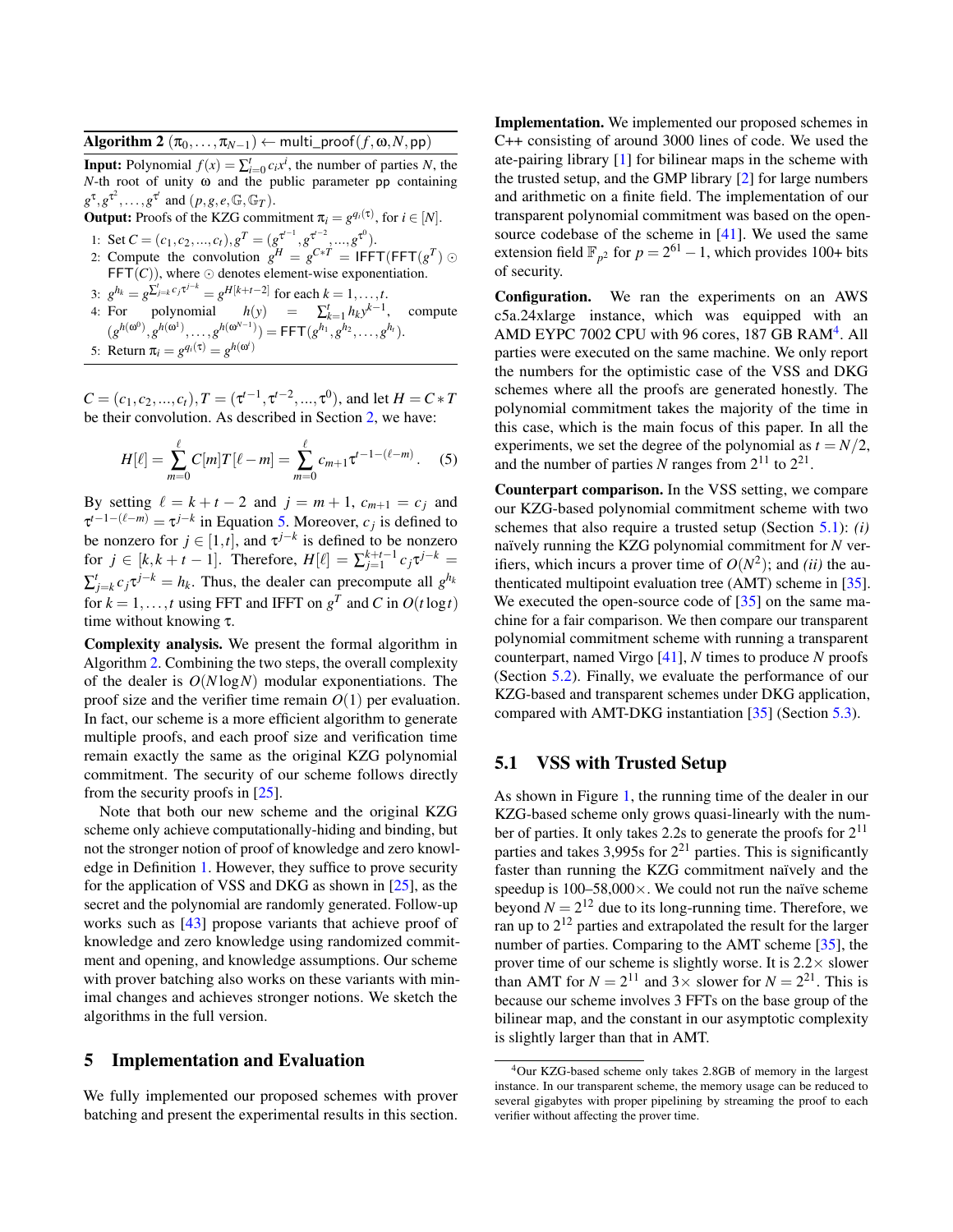<span id="page-11-1"></span>Algorithm 2  $(\pi_0, \ldots, \pi_{N-1}) \leftarrow$  multi\_proof $(f, \omega, N, \text{pp})$ 

**Input:** Polynomial  $f(x) = \sum_{i=0}^{t} c_i x^i$ , the number of parties *N*, the *N*-th root of unity ω and the public parameter pp containing  $g^{\tau}, g^{\tau^2}, \ldots, g^{\tau^t}$  and  $(p, g, e, \mathbb{G}, \mathbb{G}_T)$ .

**Output:** Proofs of the KZG commitment  $\pi_i = g^{q_i(\tau)}$ , for  $i \in [N]$ . 1: Set  $C = (c_1, c_2, ..., c_t), g^T = (g^{\tau^{t-1}}, g^{\tau^{t-2}}, ..., g^{\tau^0}).$ 2: Compute the convolution  $g^H = g^{C*T} = IFFT(FFT(g^T) \odot$  $\mathsf{FFT}(C)$ ), where  $\odot$  denotes element-wise exponentiation. 3:  $g^{h_k} = g^{\sum_{j=k}^{t} c_j \tau^{j-k}} = g^{H[k+t-2]}$  for each  $k = 1, ..., t$ . 4: For polynomial  $h(y) = \sum_{k=1}^{t} h_k y^{k-1}$ , compute  $(g^{h(\omega^0)}, g^{h(\omega^1)}, \ldots, g^{h(\omega^{N-1})}) = \mathsf{FFT}(g^{h_1}, g^{h_2}, \ldots, g^{h_t}).$ 

5: Return  $\pi_i = g^{q_i(\tau)} = g^{h(\omega^i)}$ 

 $C = (c_1, c_2, ..., c_t), T = (\tau^{t-1}, \tau^{t-2}, ..., \tau^0)$ , and let  $H = C * T$ be their convolution. As described in Section [2,](#page-4-0) we have:

$$
H[\ell] = \sum_{m=0}^{\ell} C[m]T[\ell - m] = \sum_{m=0}^{\ell} c_{m+1} \tau^{t-1 - (\ell - m)}.
$$
 (5)

By setting  $\ell = k + t - 2$  and  $j = m + 1$ ,  $c_{m+1} = c_j$  and  $\tau^{t-1-(\ell-m)} = \tau^{j-k}$  in Equation [5.](#page-11-0) Moreover,  $c_j$  is defined to be nonzero for  $j \in [1, t]$ , and  $\tau^{j-k}$  is defined to be nonzero for  $j \in [k, k + t - 1]$ . Therefore,  $H[\ell] = \sum_{j=1}^{k+t-1} c_j \tau^{j-k} =$  $\sum_{j=k}^{t} c_j \tau^{j-k} = h_k$ . Thus, the dealer can precompute all  $g^{h_k}$ for  $k = 1, ..., t$  using FFT and IFFT on  $g<sup>T</sup>$  and *C* in  $O(t \log t)$ time without knowing τ.

Complexity analysis. We present the formal algorithm in Algorithm [2.](#page-11-1) Combining the two steps, the overall complexity of the dealer is *O*(*N* log*N*) modular exponentiations. The proof size and the verifier time remain  $O(1)$  per evaluation. In fact, our scheme is a more efficient algorithm to generate multiple proofs, and each proof size and verification time remain exactly the same as the original KZG polynomial commitment. The security of our scheme follows directly from the security proofs in [\[25\]](#page-14-0).

Note that both our new scheme and the original KZG scheme only achieve computationally-hiding and binding, but not the stronger notion of proof of knowledge and zero knowledge in Definition [1.](#page-5-2) However, they suffice to prove security for the application of VSS and DKG as shown in [\[25\]](#page-14-0), as the secret and the polynomial are randomly generated. Follow-up works such as [\[43\]](#page-14-19) propose variants that achieve proof of knowledge and zero knowledge using randomized commitment and opening, and knowledge assumptions. Our scheme with prover batching also works on these variants with minimal changes and achieves stronger notions. We sketch the algorithms in the full version.

## 5 Implementation and Evaluation

We fully implemented our proposed schemes with prover batching and present the experimental results in this section.

Implementation. We implemented our proposed schemes in C++ consisting of around 3000 lines of code. We used the ate-pairing library [\[1\]](#page-13-16) for bilinear maps in the scheme with the trusted setup, and the GMP library [\[2\]](#page-13-17) for large numbers and arithmetic on a finite field. The implementation of our transparent polynomial commitment was based on the open-source codebase of the scheme in [\[41\]](#page-14-6). We used the same extension field  $\mathbb{F}_{p^2}$  for  $p = 2^{61} - 1$ , which provides 100+ bits of security.

Configuration. We ran the experiments on an AWS c5a.24xlarge instance, which was equipped with an AMD EYPC 7002 CPU with 96 cores, 187 GB RAM<sup>[4](#page-11-2)</sup>. All parties were executed on the same machine. We only report the numbers for the optimistic case of the VSS and DKG schemes where all the proofs are generated honestly. The polynomial commitment takes the majority of the time in this case, which is the main focus of this paper. In all the experiments, we set the degree of the polynomial as  $t = N/2$ , and the number of parties N ranges from  $2^{11}$  to  $2^{21}$ .

<span id="page-11-0"></span>Counterpart comparison. In the VSS setting, we compare our KZG-based polynomial commitment scheme with two schemes that also require a trusted setup (Section [5.1\)](#page-11-3): *(i)* naïvely running the KZG polynomial commitment for *N* verifiers, which incurs a prover time of  $O(N^2)$ ; and *(ii)* the authenticated multipoint evaluation tree (AMT) scheme in [\[35\]](#page-14-2). We executed the open-source code of [\[35\]](#page-14-2) on the same machine for a fair comparison. We then compare our transparent polynomial commitment scheme with running a transparent counterpart, named Virgo [\[41\]](#page-14-6), *N* times to produce *N* proofs (Section [5.2\)](#page-12-0). Finally, we evaluate the performance of our KZG-based and transparent schemes under DKG application, compared with AMT-DKG instantiation [\[35\]](#page-14-2) (Section [5.3\)](#page-12-1).

## <span id="page-11-3"></span>5.1 VSS with Trusted Setup

As shown in Figure [1,](#page-12-2) the running time of the dealer in our KZG-based scheme only grows quasi-linearly with the number of parties. It only takes 2.2s to generate the proofs for  $2^{11}$ parties and takes 3,995s for  $2^{21}$  parties. This is significantly faster than running the KZG commitment naïvely and the speedup is  $100-58,000 \times$ . We could not run the naïve scheme beyond  $N = 2^{12}$  due to its long-running time. Therefore, we ran up to 2<sup>12</sup> parties and extrapolated the result for the larger number of parties. Comparing to the AMT scheme [\[35\]](#page-14-2), the prover time of our scheme is slightly worse. It is  $2.2 \times$  slower than AMT for  $N = 2^{11}$  and  $3 \times$  slower for  $N = 2^{21}$ . This is because our scheme involves 3 FFTs on the base group of the bilinear map, and the constant in our asymptotic complexity is slightly larger than that in AMT.

<span id="page-11-2"></span><sup>4</sup>Our KZG-based scheme only takes 2.8GB of memory in the largest instance. In our transparent scheme, the memory usage can be reduced to several gigabytes with proper pipelining by streaming the proof to each verifier without affecting the prover time.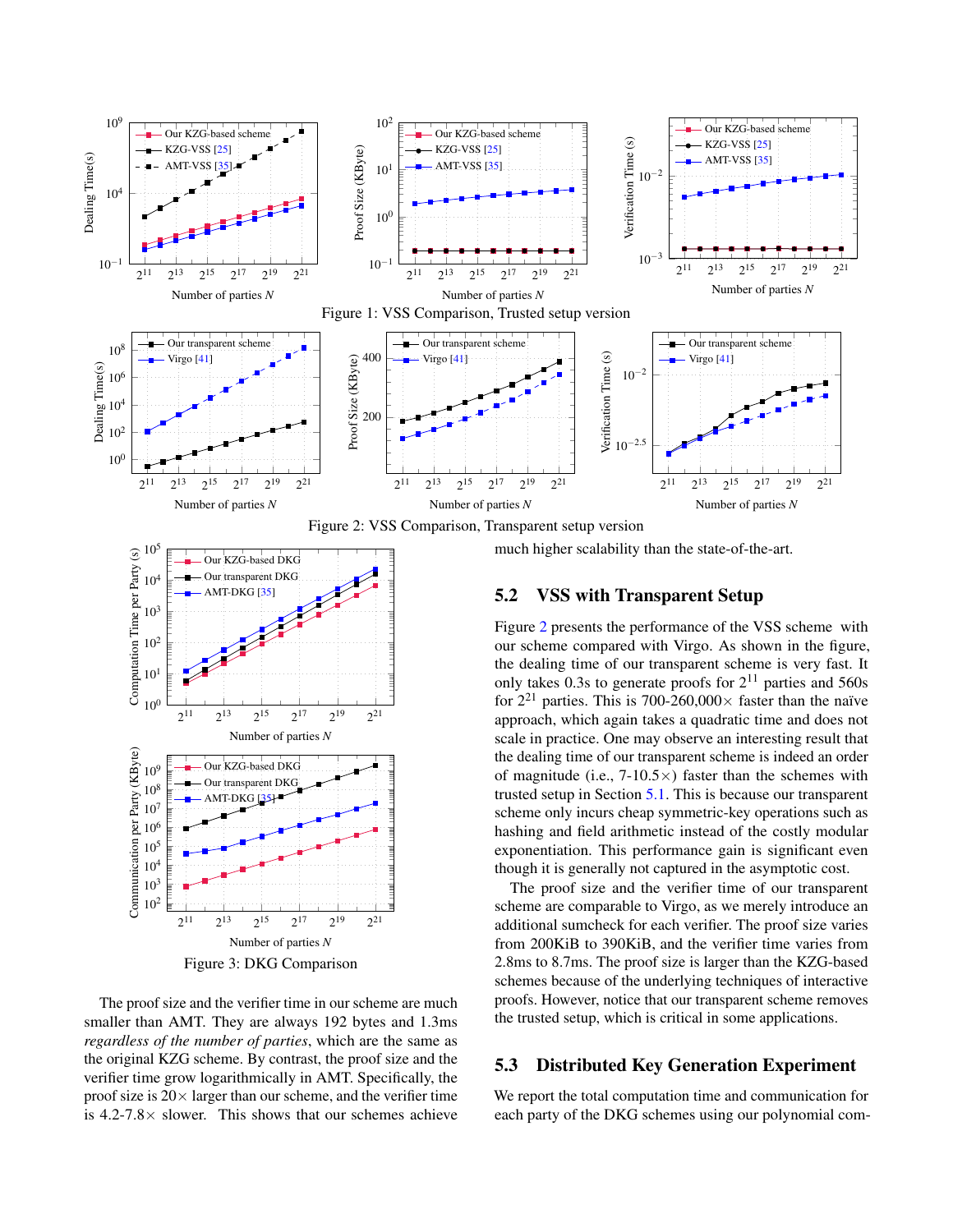<span id="page-12-3"></span><span id="page-12-2"></span>



<span id="page-12-4"></span>

The proof size and the verifier time in our scheme are much smaller than AMT. They are always 192 bytes and 1.3ms *regardless of the number of parties*, which are the same as the original KZG scheme. By contrast, the proof size and the verifier time grow logarithmically in AMT. Specifically, the proof size is  $20 \times$  larger than our scheme, and the verifier time is  $4.2$ -7.8 $\times$  slower. This shows that our schemes achieve much higher scalability than the state-of-the-art.

## <span id="page-12-0"></span>5.2 VSS with Transparent Setup

Figure [2](#page-12-3) presents the performance of the VSS scheme with our scheme compared with Virgo. As shown in the figure, the dealing time of our transparent scheme is very fast. It only takes 0.3s to generate proofs for  $2^{11}$  parties and 560s for  $2^{21}$  parties. This is 700-260,000 $\times$  faster than the naïve approach, which again takes a quadratic time and does not scale in practice. One may observe an interesting result that the dealing time of our transparent scheme is indeed an order of magnitude (i.e.,  $7-10.5\times$ ) faster than the schemes with trusted setup in Section [5.1.](#page-11-3) This is because our transparent scheme only incurs cheap symmetric-key operations such as hashing and field arithmetic instead of the costly modular exponentiation. This performance gain is significant even though it is generally not captured in the asymptotic cost.

The proof size and the verifier time of our transparent scheme are comparable to Virgo, as we merely introduce an additional sumcheck for each verifier. The proof size varies from 200KiB to 390KiB, and the verifier time varies from 2.8ms to 8.7ms. The proof size is larger than the KZG-based schemes because of the underlying techniques of interactive proofs. However, notice that our transparent scheme removes the trusted setup, which is critical in some applications.

## <span id="page-12-1"></span>5.3 Distributed Key Generation Experiment

We report the total computation time and communication for each party of the DKG schemes using our polynomial com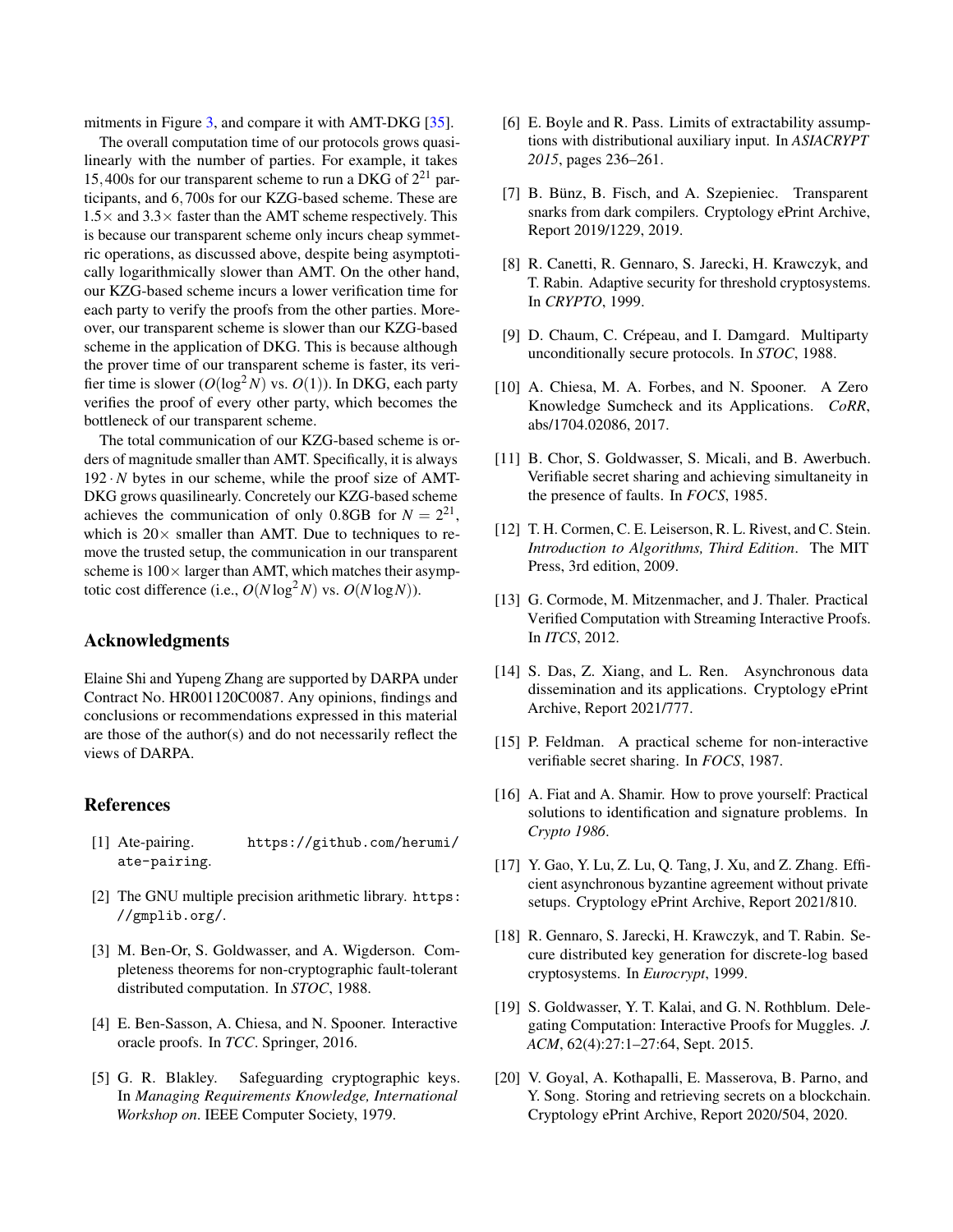mitments in Figure [3,](#page-12-4) and compare it with AMT-DKG [\[35\]](#page-14-2).

The overall computation time of our protocols grows quasilinearly with the number of parties. For example, it takes 15,400s for our transparent scheme to run a DKG of 2 <sup>21</sup> participants, and 6,700s for our KZG-based scheme. These are  $1.5\times$  and  $3.3\times$  faster than the AMT scheme respectively. This is because our transparent scheme only incurs cheap symmetric operations, as discussed above, despite being asymptotically logarithmically slower than AMT. On the other hand, our KZG-based scheme incurs a lower verification time for each party to verify the proofs from the other parties. Moreover, our transparent scheme is slower than our KZG-based scheme in the application of DKG. This is because although the prover time of our transparent scheme is faster, its verifier time is slower  $(O(\log^2 N)$  vs.  $O(1))$ . In DKG, each party verifies the proof of every other party, which becomes the bottleneck of our transparent scheme.

The total communication of our KZG-based scheme is orders of magnitude smaller than AMT. Specifically, it is always  $192 \cdot N$  bytes in our scheme, while the proof size of AMT-DKG grows quasilinearly. Concretely our KZG-based scheme achieves the communication of only 0.8GB for  $N = 2^{21}$ , which is  $20 \times$  smaller than AMT. Due to techniques to remove the trusted setup, the communication in our transparent scheme is  $100 \times$  larger than AMT, which matches their asymptotic cost difference (i.e.,  $O(N \log^2 N)$  vs.  $O(N \log N)$ ).

## Acknowledgments

Elaine Shi and Yupeng Zhang are supported by DARPA under Contract No. HR001120C0087. Any opinions, findings and conclusions or recommendations expressed in this material are those of the author(s) and do not necessarily reflect the views of DARPA.

## References

- <span id="page-13-16"></span>[1] Ate-pairing. [https://github.com/herumi/](https://github.com/herumi/ate-pairing) [ate-pairing](https://github.com/herumi/ate-pairing).
- <span id="page-13-17"></span>[2] The GNU multiple precision arithmetic library. [https:](https://gmplib.org/) [//gmplib.org/](https://gmplib.org/).
- <span id="page-13-0"></span>[3] M. Ben-Or, S. Goldwasser, and A. Wigderson. Completeness theorems for non-cryptographic fault-tolerant distributed computation. In *STOC*, 1988.
- <span id="page-13-7"></span>[4] E. Ben-Sasson, A. Chiesa, and N. Spooner. Interactive oracle proofs. In *TCC*. Springer, 2016.
- <span id="page-13-18"></span>[5] G. R. Blakley. Safeguarding cryptographic keys. In *Managing Requirements Knowledge, International Workshop on*. IEEE Computer Society, 1979.
- <span id="page-13-19"></span>[6] E. Boyle and R. Pass. Limits of extractability assumptions with distributional auxiliary input. In *ASIACRYPT 2015*, pages 236–261.
- <span id="page-13-14"></span>[7] B. Bünz, B. Fisch, and A. Szepieniec. Transparent snarks from dark compilers. Cryptology ePrint Archive, Report 2019/1229, 2019.
- <span id="page-13-9"></span>[8] R. Canetti, R. Gennaro, S. Jarecki, H. Krawczyk, and T. Rabin. Adaptive security for threshold cryptosystems. In *CRYPTO*, 1999.
- <span id="page-13-1"></span>[9] D. Chaum, C. Crépeau, and I. Damgard. Multiparty unconditionally secure protocols. In *STOC*, 1988.
- <span id="page-13-8"></span>[10] A. Chiesa, M. A. Forbes, and N. Spooner. A Zero Knowledge Sumcheck and its Applications. *CoRR*, abs/1704.02086, 2017.
- <span id="page-13-2"></span>[11] B. Chor, S. Goldwasser, S. Micali, and B. Awerbuch. Verifiable secret sharing and achieving simultaneity in the presence of faults. In *FOCS*, 1985.
- <span id="page-13-12"></span>[12] T. H. Cormen, C. E. Leiserson, R. L. Rivest, and C. Stein. *Introduction to Algorithms, Third Edition*. The MIT Press, 3rd edition, 2009.
- <span id="page-13-13"></span>[13] G. Cormode, M. Mitzenmacher, and J. Thaler. Practical Verified Computation with Streaming Interactive Proofs. In *ITCS*, 2012.
- <span id="page-13-10"></span>[14] S. Das, Z. Xiang, and L. Ren. Asynchronous data dissemination and its applications. Cryptology ePrint Archive, Report 2021/777.
- <span id="page-13-5"></span>[15] P. Feldman. A practical scheme for non-interactive verifiable secret sharing. In *FOCS*, 1987.
- <span id="page-13-15"></span>[16] A. Fiat and A. Shamir. How to prove yourself: Practical solutions to identification and signature problems. In *Crypto 1986*.
- <span id="page-13-11"></span>[17] Y. Gao, Y. Lu, Z. Lu, Q. Tang, J. Xu, and Z. Zhang. Efficient asynchronous byzantine agreement without private setups. Cryptology ePrint Archive, Report 2021/810.
- <span id="page-13-6"></span>[18] R. Gennaro, S. Jarecki, H. Krawczyk, and T. Rabin. Secure distributed key generation for discrete-log based cryptosystems. In *Eurocrypt*, 1999.
- <span id="page-13-4"></span>[19] S. Goldwasser, Y. T. Kalai, and G. N. Rothblum. Delegating Computation: Interactive Proofs for Muggles. *J. ACM*, 62(4):27:1–27:64, Sept. 2015.
- <span id="page-13-3"></span>[20] V. Goyal, A. Kothapalli, E. Masserova, B. Parno, and Y. Song. Storing and retrieving secrets on a blockchain. Cryptology ePrint Archive, Report 2020/504, 2020.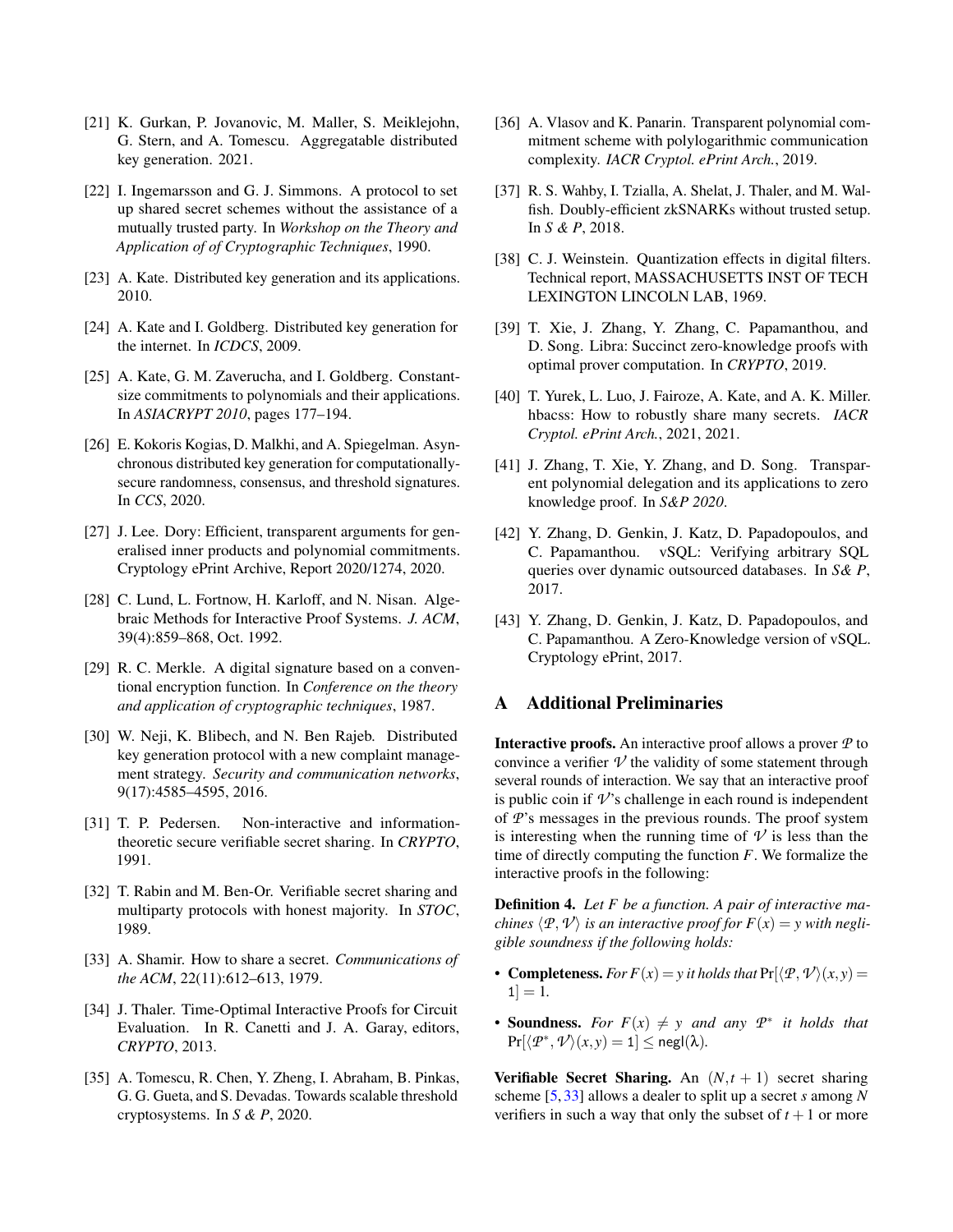- <span id="page-14-11"></span>[21] K. Gurkan, P. Jovanovic, M. Maller, S. Meiklejohn, G. Stern, and A. Tomescu. Aggregatable distributed key generation. 2021.
- <span id="page-14-9"></span>[22] I. Ingemarsson and G. J. Simmons. A protocol to set up shared secret schemes without the assistance of a mutually trusted party. In *Workshop on the Theory and Application of of Cryptographic Techniques*, 1990.
- <span id="page-14-3"></span>[23] A. Kate. Distributed key generation and its applications. 2010.
- <span id="page-14-4"></span>[24] A. Kate and I. Goldberg. Distributed key generation for the internet. In *ICDCS*, 2009.
- <span id="page-14-0"></span>[25] A. Kate, G. M. Zaverucha, and I. Goldberg. Constantsize commitments to polynomials and their applications. In *ASIACRYPT 2010*, pages 177–194.
- <span id="page-14-12"></span>[26] E. Kokoris Kogias, D. Malkhi, and A. Spiegelman. Asynchronous distributed key generation for computationallysecure randomness, consensus, and threshold signatures. In *CCS*, 2020.
- <span id="page-14-20"></span>[27] J. Lee. Dory: Efficient, transparent arguments for generalised inner products and polynomial commitments. Cryptology ePrint Archive, Report 2020/1274, 2020.
- <span id="page-14-15"></span>[28] C. Lund, L. Fortnow, H. Karloff, and N. Nisan. Algebraic Methods for Interactive Proof Systems. *J. ACM*, 39(4):859–868, Oct. 1992.
- <span id="page-14-13"></span>[29] R. C. Merkle. A digital signature based on a conventional encryption function. In *Conference on the theory and application of cryptographic techniques*, 1987.
- <span id="page-14-10"></span>[30] W. Neji, K. Blibech, and N. Ben Rajeb. Distributed key generation protocol with a new complaint management strategy. *Security and communication networks*, 9(17):4585–4595, 2016.
- <span id="page-14-8"></span>[31] T. P. Pedersen. Non-interactive and informationtheoretic secure verifiable secret sharing. In *CRYPTO*, 1991.
- <span id="page-14-1"></span>[32] T. Rabin and M. Ben-Or. Verifiable secret sharing and multiparty protocols with honest majority. In *STOC*, 1989.
- <span id="page-14-23"></span>[33] A. Shamir. How to share a secret. *Communications of the ACM*, 22(11):612–613, 1979.
- <span id="page-14-16"></span>[34] J. Thaler. Time-Optimal Interactive Proofs for Circuit Evaluation. In R. Canetti and J. A. Garay, editors, *CRYPTO*, 2013.
- <span id="page-14-2"></span>[35] A. Tomescu, R. Chen, Y. Zheng, I. Abraham, B. Pinkas, G. G. Gueta, and S. Devadas. Towards scalable threshold cryptosystems. In *S & P*, 2020.
- <span id="page-14-21"></span>[36] A. Vlasov and K. Panarin. Transparent polynomial commitment scheme with polylogarithmic communication complexity. *IACR Cryptol. ePrint Arch.*, 2019.
- <span id="page-14-18"></span>[37] R. S. Wahby, I. Tzialla, A. Shelat, J. Thaler, and M. Walfish. Doubly-efficient zkSNARKs without trusted setup. In *S & P*, 2018.
- <span id="page-14-22"></span>[38] C. J. Weinstein. Quantization effects in digital filters. Technical report, MASSACHUSETTS INST OF TECH LEXINGTON LINCOLN LAB, 1969.
- <span id="page-14-7"></span>[39] T. Xie, J. Zhang, Y. Zhang, C. Papamanthou, and D. Song. Libra: Succinct zero-knowledge proofs with optimal prover computation. In *CRYPTO*, 2019.
- <span id="page-14-5"></span>[40] T. Yurek, L. Luo, J. Fairoze, A. Kate, and A. K. Miller. hbacss: How to robustly share many secrets. *IACR Cryptol. ePrint Arch.*, 2021, 2021.
- <span id="page-14-6"></span>[41] J. Zhang, T. Xie, Y. Zhang, and D. Song. Transparent polynomial delegation and its applications to zero knowledge proof. In *S&P 2020*.
- <span id="page-14-17"></span>[42] Y. Zhang, D. Genkin, J. Katz, D. Papadopoulos, and C. Papamanthou. vSQL: Verifying arbitrary SQL queries over dynamic outsourced databases. In *S& P*, 2017.
- <span id="page-14-19"></span>[43] Y. Zhang, D. Genkin, J. Katz, D. Papadopoulos, and C. Papamanthou. A Zero-Knowledge version of vSQL. Cryptology ePrint, 2017.

## <span id="page-14-14"></span>A Additional Preliminaries

Interactive proofs. An interactive proof allows a prover *P* to convince a verifier  $V$  the validity of some statement through several rounds of interaction. We say that an interactive proof is public coin if  $\nu$ 's challenge in each round is independent of *P*'s messages in the previous rounds. The proof system is interesting when the running time of  $\mathcal V$  is less than the time of directly computing the function *F*. We formalize the interactive proofs in the following:

Definition 4. *Let F be a function. A pair of interactive machines*  $\langle P, V \rangle$  *is an interactive proof for*  $F(x) = y$  *with negligible soundness if the following holds:*

- Completeness. *For*  $F(x) = y$  *it holds that*  $Pr(\langle P, \mathcal{V} \rangle(x, y)) =$  $1] = 1.$
- **Soundness.** For  $F(x) \neq y$  and any  $P^*$  it holds that  $\Pr[\langle \mathcal{P}^*, \mathcal{V} \rangle(\mathbf{x}, \mathbf{y}) = 1] \leq \mathsf{negl}(\lambda).$

**Verifiable Secret Sharing.** An  $(N, t + 1)$  secret sharing scheme [\[5,](#page-13-18) [33\]](#page-14-23) allows a dealer to split up a secret *s* among *N* verifiers in such a way that only the subset of  $t + 1$  or more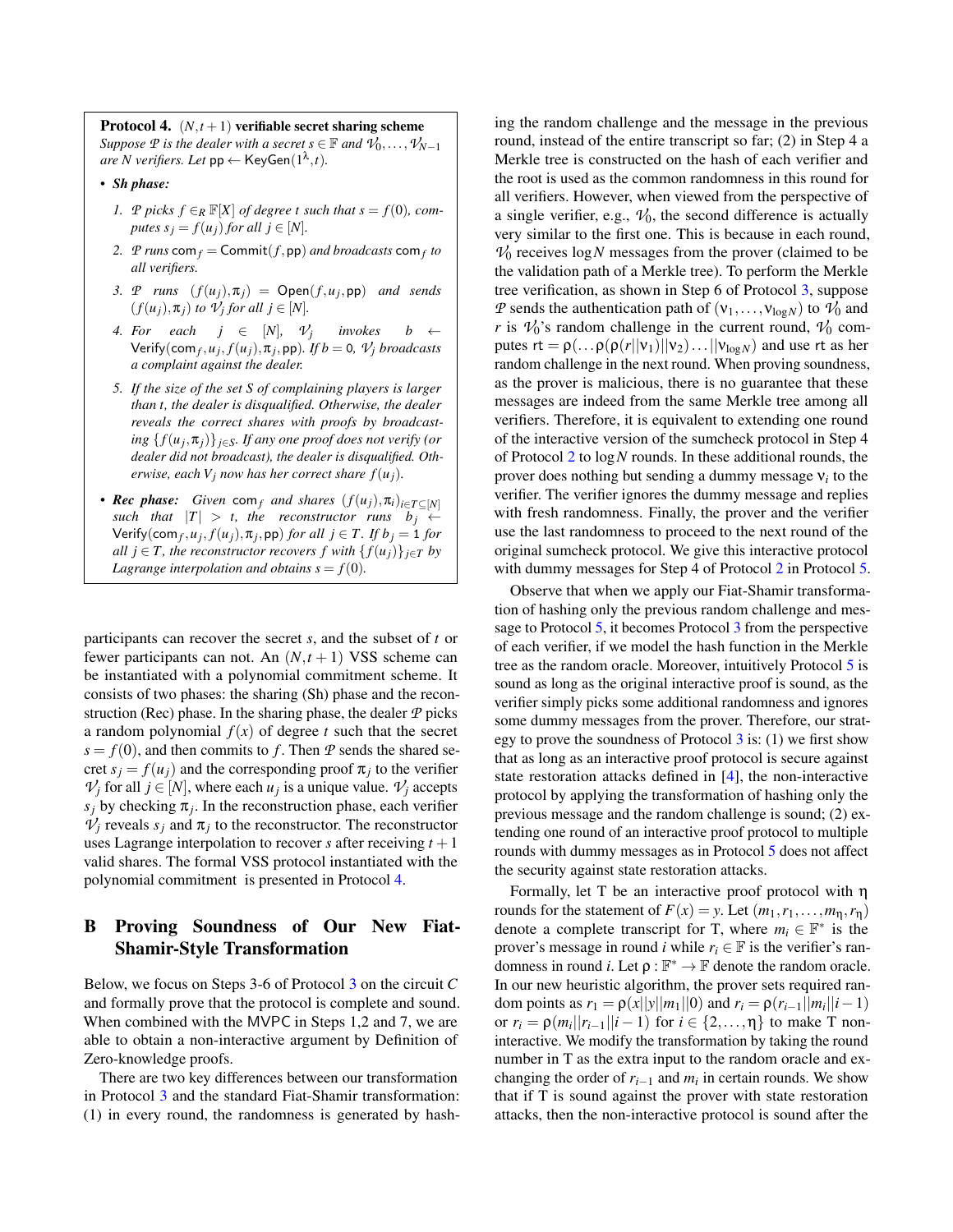<span id="page-15-0"></span>**Protocol 4.**  $(N, t+1)$  verifiable secret sharing scheme *Suppose*  $P$  *is the dealer with a secret*  $s \in \mathbb{F}$  *and*  $\mathcal{V}_0, \ldots, \mathcal{V}_{N-1}$  $are N$  verifiers. Let  $pp \leftarrow \text{KeyGen}(1^{\lambda}, t)$ .

- *Sh phase:*
	- *1. P picks f* ∈*R*  $\mathbb{F}[X]$  *of degree t such that s* = *f*(0)*, computes*  $s_j = f(u_j)$  *for all*  $j \in [N]$ *.*
	- 2. *P runs*  $\mathsf{com}_f = \mathsf{Commit}(f, \mathsf{pp})$  *and broadcasts*  $\mathsf{com}_f$  *to all verifiers.*
	- *3. P runs*  $(f(u_j), \pi_j) = \text{Open}(f, u_j, \text{pp})$  *and sends*  $(f(u_j), \pi_j)$  *to*  $\mathcal{V}_j$  *for all*  $j \in [N]$ *.*
	- *4. For each j*  $\in$  [*N*]*,*  $\mathcal{V}_j$  $invokes$  *b* ←  $\mathsf{Verify}(\mathsf{com}_f, u_j, f(u_j), \pi_j, \mathsf{pp})$ . If  $b = 0$ ,  $\mathcal{V}_j$  *broadcasts a complaint against the dealer.*
	- *5. If the size of the set S of complaining players is larger than t, the dealer is disqualified. Otherwise, the dealer reveals the correct shares with proofs by broadcasting* { *f*(*u<sup>j</sup>* ,π*j*)}*j*∈*S. If any one proof does not verify (or dealer did not broadcast), the dealer is disqualified. Otherwise, each*  $V_i$  *now has her correct share*  $f(u_i)$ *.*
- *Rec phase: Given* com $_f$  *and shares*  $(f(u_j), \pi_i)_{i \in T \subseteq [N]}$ *such that*  $|T| > t$ , the reconstructor runs  $b_j \leftarrow$  $\mathsf{Verify}(\mathsf{com}_f, u_j, f(u_j), \pi_j, \mathsf{pp})$  *for all*  $j \in T$ . If  $b_j = 1$  *for all*  $j \in T$ *, the reconstructor recovers*  $f$  *with*  $\{f(u_j)\}_{j \in T}$  *by Lagrange interpolation and obtains*  $s = f(0)$ *.*

participants can recover the secret *s*, and the subset of *t* or fewer participants can not. An  $(N, t + 1)$  VSS scheme can be instantiated with a polynomial commitment scheme. It consists of two phases: the sharing (Sh) phase and the reconstruction (Rec) phase. In the sharing phase, the dealer *P* picks a random polynomial  $f(x)$  of degree *t* such that the secret  $s = f(0)$ , and then commits to f. Then P sends the shared secret  $s_j = f(u_j)$  and the corresponding proof  $\pi_j$  to the verifier  $V_j$  for all  $j \in [N]$ , where each  $u_j$  is a unique value.  $V_j$  accepts  $s_j$  by checking  $\pi_j$ . In the reconstruction phase, each verifier  $V_j$  reveals  $s_j$  and  $\pi_j$  to the reconstructor. The reconstructor uses Lagrange interpolation to recover *s* after receiving  $t + 1$ valid shares. The formal VSS protocol instantiated with the polynomial commitment is presented in Protocol [4.](#page-15-0)

## <span id="page-15-1"></span>B Proving Soundness of Our New Fiat-Shamir-Style Transformation

Below, we focus on Steps 3-6 of Protocol [3](#page-10-0) on the circuit *C* and formally prove that the protocol is complete and sound. When combined with the MVPC in Steps 1,2 and 7, we are able to obtain a non-interactive argument by Definition of Zero-knowledge proofs.

There are two key differences between our transformation in Protocol [3](#page-10-0) and the standard Fiat-Shamir transformation: (1) in every round, the randomness is generated by hash-

ing the random challenge and the message in the previous round, instead of the entire transcript so far; (2) in Step 4 a Merkle tree is constructed on the hash of each verifier and the root is used as the common randomness in this round for all verifiers. However, when viewed from the perspective of a single verifier, e.g.,  $V_0$ , the second difference is actually very similar to the first one. This is because in each round,  $V_0$  receives  $log N$  messages from the prover (claimed to be the validation path of a Merkle tree). To perform the Merkle tree verification, as shown in Step 6 of Protocol [3,](#page-10-0) suppose *P* sends the authentication path of  $(v_1,...,v_{\log N})$  to  $V_0$  and *r* is  $\mathcal{V}_0$ 's random challenge in the current round,  $\mathcal{V}_0$  computes  $rt = \rho(\ldots \rho(\rho(r||v_1)||v_2) \ldots ||v_{\log N})$  and use rt as her random challenge in the next round. When proving soundness, as the prover is malicious, there is no guarantee that these messages are indeed from the same Merkle tree among all verifiers. Therefore, it is equivalent to extending one round of the interactive version of the sumcheck protocol in Step 4 of Protocol [2](#page-7-0) to log*N* rounds. In these additional rounds, the prover does nothing but sending a dummy message ν*<sup>i</sup>* to the verifier. The verifier ignores the dummy message and replies with fresh randomness. Finally, the prover and the verifier use the last randomness to proceed to the next round of the original sumcheck protocol. We give this interactive protocol with dummy messages for Step 4 of Protocol [2](#page-7-0) in Protocol [5.](#page-16-0)

Observe that when we apply our Fiat-Shamir transformation of hashing only the previous random challenge and message to Protocol [5,](#page-16-0) it becomes Protocol [3](#page-10-0) from the perspective of each verifier, if we model the hash function in the Merkle tree as the random oracle. Moreover, intuitively Protocol [5](#page-16-0) is sound as long as the original interactive proof is sound, as the verifier simply picks some additional randomness and ignores some dummy messages from the prover. Therefore, our strategy to prove the soundness of Protocol  $3$  is: (1) we first show that as long as an interactive proof protocol is secure against state restoration attacks defined in [\[4\]](#page-13-7), the non-interactive protocol by applying the transformation of hashing only the previous message and the random challenge is sound; (2) extending one round of an interactive proof protocol to multiple rounds with dummy messages as in Protocol [5](#page-16-0) does not affect the security against state restoration attacks.

Formally, let T be an interactive proof protocol with η rounds for the statement of  $F(x) = y$ . Let  $(m_1, r_1, \ldots, m_n, r_n)$ denote a complete transcript for T, where  $m_i \in \mathbb{F}^*$  is the prover's message in round *i* while  $r_i \in \mathbb{F}$  is the verifier's randomness in round *i*. Let  $\rho : \mathbb{F}^* \to \mathbb{F}$  denote the random oracle. In our new heuristic algorithm, the prover sets required random points as  $r_1 = \rho(x||y||m_1||0)$  and  $r_i = \rho(r_{i-1}||m_i||i-1)$ or  $r_i = \rho(m_i || r_{i-1} || i - 1)$  for  $i \in \{2, ..., n\}$  to make T noninteractive. We modify the transformation by taking the round number in T as the extra input to the random oracle and exchanging the order of  $r_{i-1}$  and  $m_i$  in certain rounds. We show that if T is sound against the prover with state restoration attacks, then the non-interactive protocol is sound after the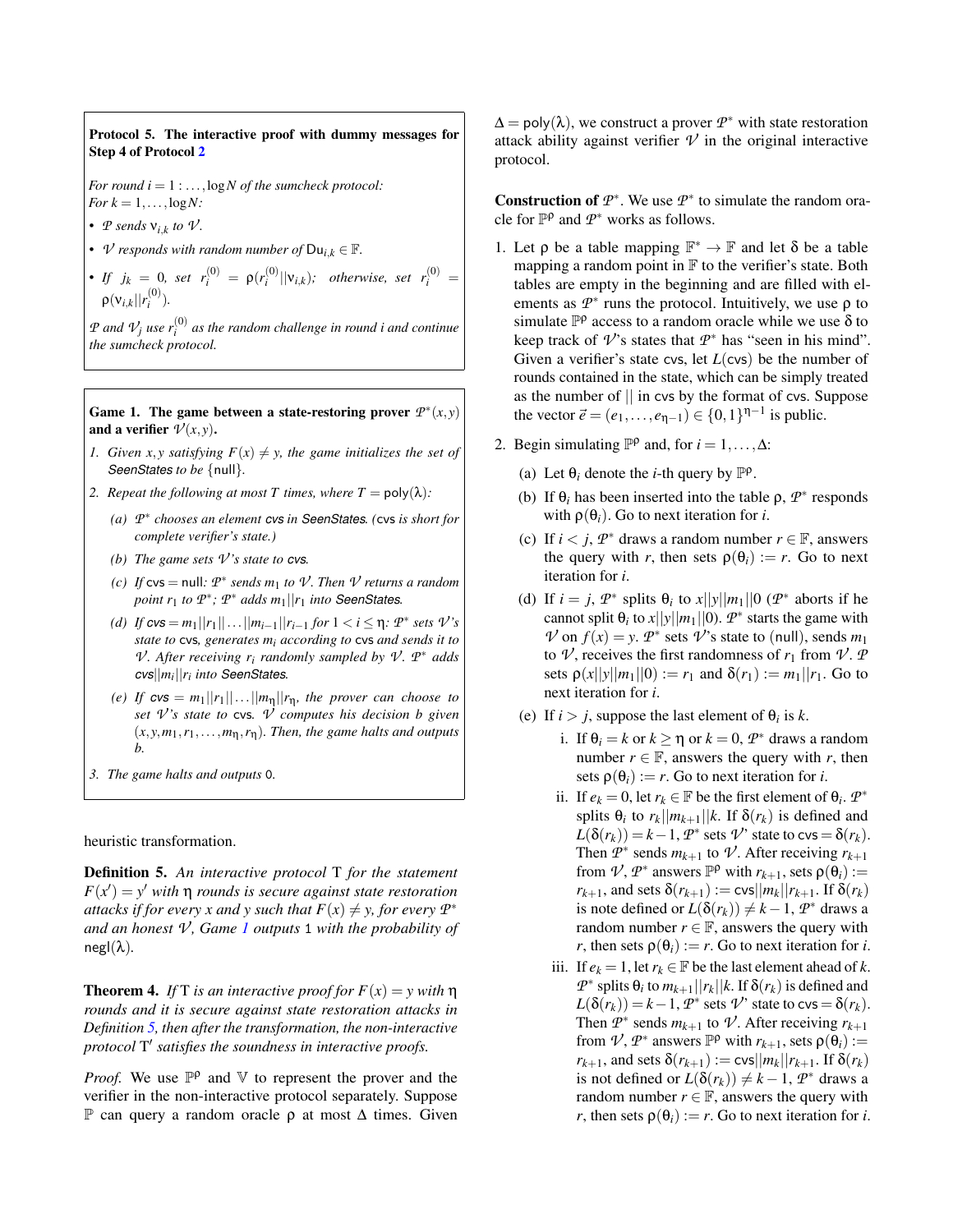<span id="page-16-0"></span>Protocol 5. The interactive proof with dummy messages for Step 4 of Protocol [2](#page-7-0)

*For round*  $i = 1 : ...$ ,  $log N$  *of the sumcheck protocol: For*  $k = 1, \ldots, \log N$ :

- $P$  *sends*  $V_{i,k}$  *to*  $V$ *.*
- *V* responds with random number of  $Du_{i,k} \in \mathbb{F}$ .
- *If*  $j_k = 0$ , set  $r_i^{(0)} = \rho(r_i^{(0)}||v_{i,k})$ ; otherwise, set  $r_i^{(0)} =$  $\rho(\mathsf{v}_{i,k}||r_i^{(0)}).$

 $P$  *and*  $V_j$  *use*  $r_i^{(0)}$  *as the random challenge in round i and continue the sumcheck protocol.*

<span id="page-16-1"></span>Game 1. The game between a state-restoring prover  $P^*(x, y)$ and a verifier  $\mathcal{V}(x, y)$ .

- *1. Given x*, *y satisfying*  $F(x) \neq y$ *, the game initializes the set of SeenStates to be* {null}*.*
- *2. Repeat the following at most T times, where T* =  $poly(\lambda)$ *:* 
	- *(a) P* ∗ *chooses an element cvs in SeenStates. (*cvs *is short for complete verifier's state.)*
	- *(b) The game sets*  $V$ *'s state to cvs.*
	- *(c) If*  $\mathsf{c} \mathsf{v} \mathsf{s} = \mathsf{null}$ *:*  $\mathcal{P}^*$  *sends*  $m_1$  *to*  $\mathcal{V}$ *. Then*  $\mathcal{V}$  *returns a random point*  $r_1$  *to*  $\mathcal{P}^*$ *;*  $\mathcal{P}^*$  *adds*  $m_1 || r_1$  *into* SeenStates.
	- *(d) If*  $cvs = m_1||r_1|| \dots ||m_{i-1}||r_{i-1}$  *for*  $1 < i ≤ η$ *:*  $P^*$  *sets*  $V$ '*s state to* cvs*, generates m<sup>i</sup> according to* cvs *and sends it to V*. After receiving  $r_i$  randomly sampled by  $\mathcal{V}$ .  $\mathcal{P}^*$  adds *cvs*||*m<sup>i</sup>* ||*r<sup>i</sup> into SeenStates.*
	- *(e) If*  $cvs = m_1 ||r_1|| \dots ||m_n||r_n$ , the prover can choose to *set V 's state to* cvs*. V computes his decision b given*  $(x, y, m_1, r_1, \ldots, m_n, r_n)$ *. Then, the game halts and outputs b.*
- *3. The game halts and outputs* 0*.*

heuristic transformation.

<span id="page-16-2"></span>Definition 5. *An interactive protocol* T *for the statement*  $F(x') = y'$  *with*  $\eta$  *rounds is secure against state restoration attacks if for every x and y such that*  $F(x) \neq y$ *, for every*  $P^*$ *and an honest V , Game [1](#page-16-1) outputs* 1 *with the probability of*  $negl(\lambda)$ .

**Theorem 4.** *If* T *is an interactive proof for*  $F(x) = y$  *with*  $\eta$ *rounds and it is secure against state restoration attacks in Definition [5,](#page-16-2) then after the transformation, the non-interactive protocol* T 0 *satisfies the soundness in interactive proofs.*

*Proof.* We use  $\mathbb{P}^{\rho}$  and  $\mathbb{V}$  to represent the prover and the verifier in the non-interactive protocol separately. Suppose P can query a random oracle ρ at most ∆ times. Given

 $\Delta = \text{poly}(\lambda)$ , we construct a prover  $\mathcal{P}^*$  with state restoration attack ability against verifier  $\mathcal V$  in the original interactive protocol.

**Construction of**  $\mathcal{P}^*$ **. We use**  $\mathcal{P}^*$  **to simulate the random ora**cle for  $\mathbb{P}^{\rho}$  and  $\mathcal{P}^*$  works as follows.

- 1. Let  $\rho$  be a table mapping  $\mathbb{F}^* \to \mathbb{F}$  and let δ be a table mapping a random point in  $\mathbb F$  to the verifier's state. Both tables are empty in the beginning and are filled with elements as  $\mathcal{P}^*$  runs the protocol. Intuitively, we use  $\rho$  to simulate  $\mathbb{P}^{\rho}$  access to a random oracle while we use  $\delta$  to keep track of  $\nu$ 's states that  $\nu$ <sup>\*</sup> has "seen in his mind". Given a verifier's state cvs, let *L*(cvs) be the number of rounds contained in the state, which can be simply treated as the number of  $\parallel$  in cvs by the format of cvs. Suppose the vector  $\vec{e} = (e_1, \ldots, e_{\eta-1}) \in \{0, 1\}^{\eta-1}$  is public.
- 2. Begin simulating  $\mathbb{P}^{\rho}$  and, for *i* = 1, ...,  $\Delta$ :
	- (a) Let  $\theta_i$  denote the *i*-th query by  $\mathbb{P}^{\rho}$ .
	- (b) If  $\theta_i$  has been inserted into the table  $\rho$ ,  $P^*$  responds with  $\rho(\theta_i)$ . Go to next iteration for *i*.
	- (c) If  $i < j$ ,  $T^*$  draws a random number  $r \in \mathbb{F}$ , answers the query with *r*, then sets  $\rho(\theta_i) := r$ . Go to next iteration for *i*.
	- (d) If  $i = j$ ,  $T^*$  splits  $\theta_i$  to  $x||y||m_1||0$  ( $T^*$  aborts if he cannot split  $\theta_i$  to  $x||y||m_1||0$ ).  $\mathcal{P}^*$  starts the game with  $\nu$  on  $f(x) = y$ .  $\nu^*$  sets  $\nu$ 's state to (null), sends  $m_1$ to  $\nu$ , receives the first randomness of  $r_1$  from  $\nu$ .  $\nu$ sets  $\rho(x||y||m_1||0) := r_1$  and  $\delta(r_1) := m_1||r_1$ . Go to next iteration for *i*.
	- (e) If  $i > j$ , suppose the last element of  $\theta_i$  is *k*.
		- i. If  $\theta_i = k$  or  $k \ge \eta$  or  $k = 0$ ,  $T^*$  draws a random number  $r \in \mathbb{F}$ , answers the query with *r*, then sets  $\rho(\theta_i) := r$ . Go to next iteration for *i*.
		- ii. If  $e_k = 0$ , let  $r_k \in \mathbb{F}$  be the first element of  $\theta_i$ .  $\mathcal{P}^*$ splits  $\theta_i$  to  $r_k || m_{k+1} || k$ . If  $\delta(r_k)$  is defined and  $L(\delta(r_k)) = k - 1$ ,  $\mathcal{P}^*$  sets  $\mathcal{V}$ ' state to  $\cos = \delta(r_k)$ . Then  $\mathcal{P}^*$  sends  $m_{k+1}$  to  $\mathcal{V}$ . After receiving  $r_{k+1}$ from  $\mathcal{V}, \mathcal{P}^*$  answers  $\mathbb{P}^{\rho}$  with  $r_{k+1}$ , sets  $\rho(\theta_i) :=$  $r_{k+1}$ , and sets  $\delta(r_{k+1}) := \text{cvs} ||m_k|| r_{k+1}$ . If  $\delta(r_k)$ is note defined or  $L(\delta(r_k)) \neq k - 1$ ,  $P^*$  draws a random number  $r \in \mathbb{F}$ , answers the query with *r*, then sets  $\rho(\theta_i) := r$ . Go to next iteration for *i*.
		- iii. If  $e_k = 1$ , let  $r_k \in \mathbb{F}$  be the last element ahead of *k*.  $P^*$  splits  $θ_i$  to  $m_{k+1}$ || $r_k$ || $k$ . If  $δ(r_k)$  is defined and  $L(\delta(r_k)) = k - 1$ ,  $\mathcal{P}^*$  sets  $\mathcal{V}$ ' state to cvs =  $\delta(r_k)$ . Then  $\mathcal{P}^*$  sends  $m_{k+1}$  to  $\mathcal{V}$ . After receiving  $r_{k+1}$ from  $\mathcal{V}, \mathcal{P}^*$  answers  $\mathbb{P}^{\rho}$  with  $r_{k+1}$ , sets  $\rho(\theta_i) :=$ *r*<sub>*k*+1</sub>, and sets δ(*r*<sub>*k*+1</sub>) := cvs||*m*<sub>*k*</sub>||*r*<sub>*k*+1</sub>. If δ(*r*<sub>*k*</sub>) is not defined or  $L(\delta(r_k)) \neq k - 1$ ,  $P^*$  draws a random number  $r \in \mathbb{F}$ , answers the query with *r*, then sets  $\rho(\theta_i) := r$ . Go to next iteration for *i*.